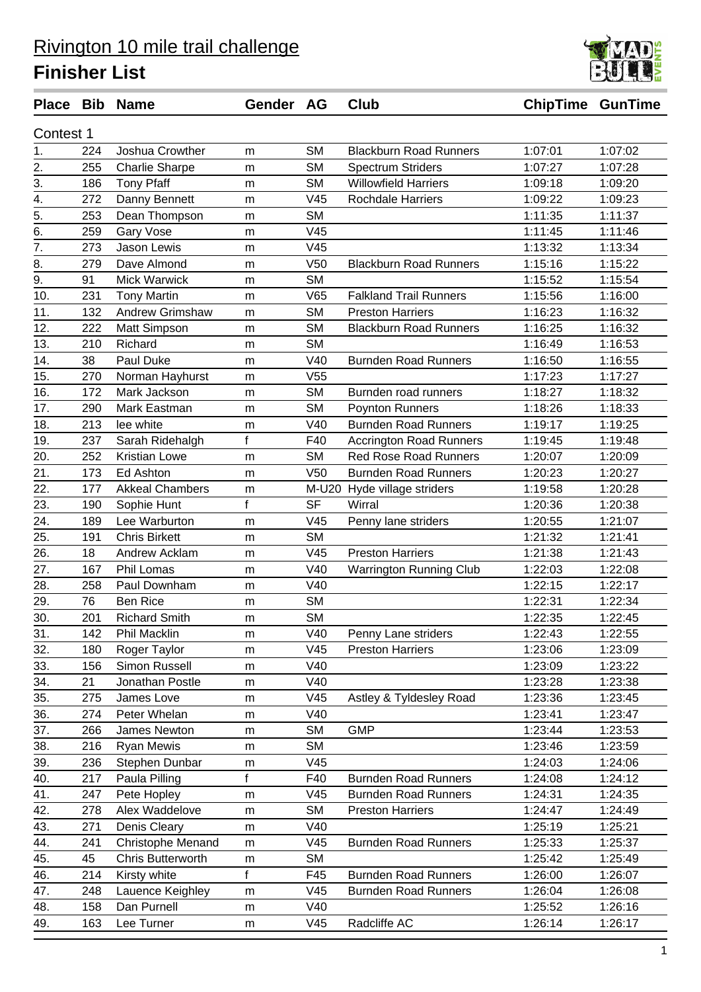

| Contest 1<br><b>SM</b><br>1.<br>1:07:02<br>224<br>Joshua Crowther<br><b>Blackburn Road Runners</b><br>1:07:01<br>m<br>2.<br><b>SM</b><br>255<br>1:07:27<br>1:07:28<br><b>Charlie Sharpe</b><br><b>Spectrum Striders</b><br>m<br>3.<br>186<br><b>Tony Pfaff</b><br><b>SM</b><br><b>Willowfield Harriers</b><br>1:09:20<br>1:09:18<br>m<br>V <sub>45</sub><br><b>Rochdale Harriers</b><br>1:09:22<br>1:09:23<br>4.<br>272<br>Danny Bennett<br>m<br>5.<br><b>SM</b><br>1:11:35<br>253<br>1:11:37<br>Dean Thompson<br>m<br>V45<br>6.<br>259<br>Gary Vose<br>1:11:45<br>1:11:46<br>m<br>1:13:34<br>7.<br>273<br>Jason Lewis<br>V45<br>1:13:32<br>m<br>8.<br>V <sub>50</sub><br>1:15:16<br>1:15:22<br>279<br>Dave Almond<br><b>Blackburn Road Runners</b><br>m<br>9.<br><b>SM</b><br><b>Mick Warwick</b><br>1:15:52<br>1:15:54<br>91<br>m<br>V65<br><b>Falkland Trail Runners</b><br>231<br>1:15:56<br>10.<br><b>Tony Martin</b><br>1:16:00<br>m<br><b>SM</b><br>11.<br>132<br><b>Andrew Grimshaw</b><br><b>Preston Harriers</b><br>1:16:23<br>1:16:32<br>m<br>12.<br><b>SM</b><br>222<br>1:16:25<br>1:16:32<br>Matt Simpson<br><b>Blackburn Road Runners</b><br>m<br>13.<br>210<br>Richard<br><b>SM</b><br>1:16:49<br>1:16:53<br>m<br>38<br>Paul Duke<br>V40<br><b>Burnden Road Runners</b><br>1:16:50<br>1:16:55<br>14.<br>m<br>1:17:23<br>1:17:27<br>15.<br>V <sub>55</sub><br>270<br>Norman Hayhurst<br>m<br>16.<br><b>SM</b><br>172<br>Mark Jackson<br>Burnden road runners<br>1:18:27<br>1:18:32<br>m<br><b>SM</b><br>17.<br>Mark Eastman<br>1:18:26<br>1:18:33<br>290<br>Poynton Runners<br>m<br><b>Burnden Road Runners</b><br>1:19:25<br>18.<br>213<br>lee white<br>V40<br>1:19:17<br>m<br>f<br>19.<br>237<br>F40<br><b>Accrington Road Runners</b><br>1:19:45<br>1:19:48<br>Sarah Ridehalgh<br><b>SM</b><br>20.<br>252<br><b>Kristian Lowe</b><br><b>Red Rose Road Runners</b><br>1:20:07<br>1:20:09<br>m<br>21.<br>V <sub>50</sub><br><b>Burnden Road Runners</b><br>173<br>Ed Ashton<br>1:20:23<br>1:20:27<br>m<br>22.<br>177<br><b>Akkeal Chambers</b><br>M-U20 Hyde village striders<br>1:19:58<br>1:20:28<br>m<br>f<br>23.<br><b>SF</b><br>Wirral<br>1:20:36<br>1:20:38<br>190<br>Sophie Hunt<br>24.<br>V45<br>189<br>Lee Warburton<br>1:20:55<br>1:21:07<br>Penny lane striders<br>m<br>25.<br><b>SM</b><br>191<br><b>Chris Birkett</b><br>1:21:32<br>1:21:41<br>m<br>26.<br>18<br>V <sub>45</sub><br><b>Preston Harriers</b><br>1:21:38<br>1:21:43<br>Andrew Acklam<br>m<br>V40<br>27.<br>167<br>Phil Lomas<br>1:22:03<br>1:22:08<br><b>Warrington Running Club</b><br>m<br>28.<br>258<br>V40<br>1:22:15<br>1:22:17<br>Paul Downham<br>m<br><b>SM</b><br>1:22:34<br>29.<br>76<br><b>Ben Rice</b><br>1:22:31<br>m<br>30.<br><b>SM</b><br>201<br>1:22:35<br>1:22:45<br><b>Richard Smith</b><br>m<br>142<br>Phil Macklin<br>V40<br>31.<br>Penny Lane striders<br>1:22:43<br>1:22:55<br>m<br>V45<br>Roger Taylor<br><b>Preston Harriers</b><br>1:23:06<br>1:23:09<br>32.<br>180<br>m<br>Simon Russell<br>V40<br>1:23:09<br>1:23:22<br>33.<br>156<br>m<br>34.<br>21<br>Jonathan Postle<br>V40<br>1:23:28<br>1:23:38<br>m<br>35.<br>James Love<br>V45<br>1:23:36<br>275<br>Astley & Tyldesley Road<br>1:23:45<br>m<br>36.<br>Peter Whelan<br>V40<br>1:23:41<br>1:23:47<br>274<br>m<br>37.<br>266<br><b>SM</b><br>1:23:44<br>1:23:53<br>James Newton<br><b>GMP</b><br>m<br><b>SM</b><br>38.<br>Ryan Mewis<br>216<br>1:23:46<br>1:23:59<br>m<br>V45<br>39.<br>236<br>Stephen Dunbar<br>1:24:03<br>1:24:06<br>m<br>f<br>1:24:12<br>40.<br>217<br>Paula Pilling<br>F40<br><b>Burnden Road Runners</b><br>1:24:08<br>41.<br>V45<br>247<br>Pete Hopley<br><b>Burnden Road Runners</b><br>1:24:31<br>1:24:35<br>m<br>42.<br>Alex Waddelove<br><b>SM</b><br>1:24:47<br>1:24:49<br>278<br><b>Preston Harriers</b><br>m<br>43.<br>V40<br>1:25:19<br>271<br>Denis Cleary<br>1:25:21<br>m<br>44.<br>Christophe Menand<br>V45<br><b>Burnden Road Runners</b><br>1:25:33<br>241<br>1:25:37<br>${\sf m}$<br>45.<br>45<br><b>SM</b><br>1:25:42<br>1:25:49<br>Chris Butterworth<br>m<br>46.<br>214<br>f<br>F45<br><b>Burnden Road Runners</b><br>Kirsty white<br>1:26:00<br>1:26:07<br>Lauence Keighley<br><b>Burnden Road Runners</b><br>47.<br>248<br>V45<br>1:26:04<br>1:26:08<br>m<br>48.<br>158<br>Dan Purnell<br>V40<br>1:25:52<br>1:26:16<br>m<br>49.<br>V45<br>Radcliffe AC<br>163<br>Lee Turner<br>1:26:14<br>1:26:17<br>m |  | Place Bib Name | Gender AG | <b>Club</b> | <b>ChipTime GunTime</b> |  |
|-------------------------------------------------------------------------------------------------------------------------------------------------------------------------------------------------------------------------------------------------------------------------------------------------------------------------------------------------------------------------------------------------------------------------------------------------------------------------------------------------------------------------------------------------------------------------------------------------------------------------------------------------------------------------------------------------------------------------------------------------------------------------------------------------------------------------------------------------------------------------------------------------------------------------------------------------------------------------------------------------------------------------------------------------------------------------------------------------------------------------------------------------------------------------------------------------------------------------------------------------------------------------------------------------------------------------------------------------------------------------------------------------------------------------------------------------------------------------------------------------------------------------------------------------------------------------------------------------------------------------------------------------------------------------------------------------------------------------------------------------------------------------------------------------------------------------------------------------------------------------------------------------------------------------------------------------------------------------------------------------------------------------------------------------------------------------------------------------------------------------------------------------------------------------------------------------------------------------------------------------------------------------------------------------------------------------------------------------------------------------------------------------------------------------------------------------------------------------------------------------------------------------------------------------------------------------------------------------------------------------------------------------------------------------------------------------------------------------------------------------------------------------------------------------------------------------------------------------------------------------------------------------------------------------------------------------------------------------------------------------------------------------------------------------------------------------------------------------------------------------------------------------------------------------------------------------------------------------------------------------------------------------------------------------------------------------------------------------------------------------------------------------------------------------------------------------------------------------------------------------------------------------------------------------------------------------------------------------------------------------------------------------------------------------------------------------------------------------------------------------------------------------------------------------------------------------------------------------------------------------------------------------------------------------------------------------------------------------------------------------------------------------------------------------------------------------------------------------------------------------------------------------------------------------------------------------------------------------------------------------------------------------------------------------------------------------------------------------------------------------------------------------------------------------|--|----------------|-----------|-------------|-------------------------|--|
|                                                                                                                                                                                                                                                                                                                                                                                                                                                                                                                                                                                                                                                                                                                                                                                                                                                                                                                                                                                                                                                                                                                                                                                                                                                                                                                                                                                                                                                                                                                                                                                                                                                                                                                                                                                                                                                                                                                                                                                                                                                                                                                                                                                                                                                                                                                                                                                                                                                                                                                                                                                                                                                                                                                                                                                                                                                                                                                                                                                                                                                                                                                                                                                                                                                                                                                                                                                                                                                                                                                                                                                                                                                                                                                                                                                                                                                                                                                                                                                                                                                                                                                                                                                                                                                                                                                                                                                                                         |  |                |           |             |                         |  |
|                                                                                                                                                                                                                                                                                                                                                                                                                                                                                                                                                                                                                                                                                                                                                                                                                                                                                                                                                                                                                                                                                                                                                                                                                                                                                                                                                                                                                                                                                                                                                                                                                                                                                                                                                                                                                                                                                                                                                                                                                                                                                                                                                                                                                                                                                                                                                                                                                                                                                                                                                                                                                                                                                                                                                                                                                                                                                                                                                                                                                                                                                                                                                                                                                                                                                                                                                                                                                                                                                                                                                                                                                                                                                                                                                                                                                                                                                                                                                                                                                                                                                                                                                                                                                                                                                                                                                                                                                         |  |                |           |             |                         |  |
|                                                                                                                                                                                                                                                                                                                                                                                                                                                                                                                                                                                                                                                                                                                                                                                                                                                                                                                                                                                                                                                                                                                                                                                                                                                                                                                                                                                                                                                                                                                                                                                                                                                                                                                                                                                                                                                                                                                                                                                                                                                                                                                                                                                                                                                                                                                                                                                                                                                                                                                                                                                                                                                                                                                                                                                                                                                                                                                                                                                                                                                                                                                                                                                                                                                                                                                                                                                                                                                                                                                                                                                                                                                                                                                                                                                                                                                                                                                                                                                                                                                                                                                                                                                                                                                                                                                                                                                                                         |  |                |           |             |                         |  |
|                                                                                                                                                                                                                                                                                                                                                                                                                                                                                                                                                                                                                                                                                                                                                                                                                                                                                                                                                                                                                                                                                                                                                                                                                                                                                                                                                                                                                                                                                                                                                                                                                                                                                                                                                                                                                                                                                                                                                                                                                                                                                                                                                                                                                                                                                                                                                                                                                                                                                                                                                                                                                                                                                                                                                                                                                                                                                                                                                                                                                                                                                                                                                                                                                                                                                                                                                                                                                                                                                                                                                                                                                                                                                                                                                                                                                                                                                                                                                                                                                                                                                                                                                                                                                                                                                                                                                                                                                         |  |                |           |             |                         |  |
|                                                                                                                                                                                                                                                                                                                                                                                                                                                                                                                                                                                                                                                                                                                                                                                                                                                                                                                                                                                                                                                                                                                                                                                                                                                                                                                                                                                                                                                                                                                                                                                                                                                                                                                                                                                                                                                                                                                                                                                                                                                                                                                                                                                                                                                                                                                                                                                                                                                                                                                                                                                                                                                                                                                                                                                                                                                                                                                                                                                                                                                                                                                                                                                                                                                                                                                                                                                                                                                                                                                                                                                                                                                                                                                                                                                                                                                                                                                                                                                                                                                                                                                                                                                                                                                                                                                                                                                                                         |  |                |           |             |                         |  |
|                                                                                                                                                                                                                                                                                                                                                                                                                                                                                                                                                                                                                                                                                                                                                                                                                                                                                                                                                                                                                                                                                                                                                                                                                                                                                                                                                                                                                                                                                                                                                                                                                                                                                                                                                                                                                                                                                                                                                                                                                                                                                                                                                                                                                                                                                                                                                                                                                                                                                                                                                                                                                                                                                                                                                                                                                                                                                                                                                                                                                                                                                                                                                                                                                                                                                                                                                                                                                                                                                                                                                                                                                                                                                                                                                                                                                                                                                                                                                                                                                                                                                                                                                                                                                                                                                                                                                                                                                         |  |                |           |             |                         |  |
|                                                                                                                                                                                                                                                                                                                                                                                                                                                                                                                                                                                                                                                                                                                                                                                                                                                                                                                                                                                                                                                                                                                                                                                                                                                                                                                                                                                                                                                                                                                                                                                                                                                                                                                                                                                                                                                                                                                                                                                                                                                                                                                                                                                                                                                                                                                                                                                                                                                                                                                                                                                                                                                                                                                                                                                                                                                                                                                                                                                                                                                                                                                                                                                                                                                                                                                                                                                                                                                                                                                                                                                                                                                                                                                                                                                                                                                                                                                                                                                                                                                                                                                                                                                                                                                                                                                                                                                                                         |  |                |           |             |                         |  |
|                                                                                                                                                                                                                                                                                                                                                                                                                                                                                                                                                                                                                                                                                                                                                                                                                                                                                                                                                                                                                                                                                                                                                                                                                                                                                                                                                                                                                                                                                                                                                                                                                                                                                                                                                                                                                                                                                                                                                                                                                                                                                                                                                                                                                                                                                                                                                                                                                                                                                                                                                                                                                                                                                                                                                                                                                                                                                                                                                                                                                                                                                                                                                                                                                                                                                                                                                                                                                                                                                                                                                                                                                                                                                                                                                                                                                                                                                                                                                                                                                                                                                                                                                                                                                                                                                                                                                                                                                         |  |                |           |             |                         |  |
|                                                                                                                                                                                                                                                                                                                                                                                                                                                                                                                                                                                                                                                                                                                                                                                                                                                                                                                                                                                                                                                                                                                                                                                                                                                                                                                                                                                                                                                                                                                                                                                                                                                                                                                                                                                                                                                                                                                                                                                                                                                                                                                                                                                                                                                                                                                                                                                                                                                                                                                                                                                                                                                                                                                                                                                                                                                                                                                                                                                                                                                                                                                                                                                                                                                                                                                                                                                                                                                                                                                                                                                                                                                                                                                                                                                                                                                                                                                                                                                                                                                                                                                                                                                                                                                                                                                                                                                                                         |  |                |           |             |                         |  |
|                                                                                                                                                                                                                                                                                                                                                                                                                                                                                                                                                                                                                                                                                                                                                                                                                                                                                                                                                                                                                                                                                                                                                                                                                                                                                                                                                                                                                                                                                                                                                                                                                                                                                                                                                                                                                                                                                                                                                                                                                                                                                                                                                                                                                                                                                                                                                                                                                                                                                                                                                                                                                                                                                                                                                                                                                                                                                                                                                                                                                                                                                                                                                                                                                                                                                                                                                                                                                                                                                                                                                                                                                                                                                                                                                                                                                                                                                                                                                                                                                                                                                                                                                                                                                                                                                                                                                                                                                         |  |                |           |             |                         |  |
|                                                                                                                                                                                                                                                                                                                                                                                                                                                                                                                                                                                                                                                                                                                                                                                                                                                                                                                                                                                                                                                                                                                                                                                                                                                                                                                                                                                                                                                                                                                                                                                                                                                                                                                                                                                                                                                                                                                                                                                                                                                                                                                                                                                                                                                                                                                                                                                                                                                                                                                                                                                                                                                                                                                                                                                                                                                                                                                                                                                                                                                                                                                                                                                                                                                                                                                                                                                                                                                                                                                                                                                                                                                                                                                                                                                                                                                                                                                                                                                                                                                                                                                                                                                                                                                                                                                                                                                                                         |  |                |           |             |                         |  |
|                                                                                                                                                                                                                                                                                                                                                                                                                                                                                                                                                                                                                                                                                                                                                                                                                                                                                                                                                                                                                                                                                                                                                                                                                                                                                                                                                                                                                                                                                                                                                                                                                                                                                                                                                                                                                                                                                                                                                                                                                                                                                                                                                                                                                                                                                                                                                                                                                                                                                                                                                                                                                                                                                                                                                                                                                                                                                                                                                                                                                                                                                                                                                                                                                                                                                                                                                                                                                                                                                                                                                                                                                                                                                                                                                                                                                                                                                                                                                                                                                                                                                                                                                                                                                                                                                                                                                                                                                         |  |                |           |             |                         |  |
|                                                                                                                                                                                                                                                                                                                                                                                                                                                                                                                                                                                                                                                                                                                                                                                                                                                                                                                                                                                                                                                                                                                                                                                                                                                                                                                                                                                                                                                                                                                                                                                                                                                                                                                                                                                                                                                                                                                                                                                                                                                                                                                                                                                                                                                                                                                                                                                                                                                                                                                                                                                                                                                                                                                                                                                                                                                                                                                                                                                                                                                                                                                                                                                                                                                                                                                                                                                                                                                                                                                                                                                                                                                                                                                                                                                                                                                                                                                                                                                                                                                                                                                                                                                                                                                                                                                                                                                                                         |  |                |           |             |                         |  |
|                                                                                                                                                                                                                                                                                                                                                                                                                                                                                                                                                                                                                                                                                                                                                                                                                                                                                                                                                                                                                                                                                                                                                                                                                                                                                                                                                                                                                                                                                                                                                                                                                                                                                                                                                                                                                                                                                                                                                                                                                                                                                                                                                                                                                                                                                                                                                                                                                                                                                                                                                                                                                                                                                                                                                                                                                                                                                                                                                                                                                                                                                                                                                                                                                                                                                                                                                                                                                                                                                                                                                                                                                                                                                                                                                                                                                                                                                                                                                                                                                                                                                                                                                                                                                                                                                                                                                                                                                         |  |                |           |             |                         |  |
|                                                                                                                                                                                                                                                                                                                                                                                                                                                                                                                                                                                                                                                                                                                                                                                                                                                                                                                                                                                                                                                                                                                                                                                                                                                                                                                                                                                                                                                                                                                                                                                                                                                                                                                                                                                                                                                                                                                                                                                                                                                                                                                                                                                                                                                                                                                                                                                                                                                                                                                                                                                                                                                                                                                                                                                                                                                                                                                                                                                                                                                                                                                                                                                                                                                                                                                                                                                                                                                                                                                                                                                                                                                                                                                                                                                                                                                                                                                                                                                                                                                                                                                                                                                                                                                                                                                                                                                                                         |  |                |           |             |                         |  |
|                                                                                                                                                                                                                                                                                                                                                                                                                                                                                                                                                                                                                                                                                                                                                                                                                                                                                                                                                                                                                                                                                                                                                                                                                                                                                                                                                                                                                                                                                                                                                                                                                                                                                                                                                                                                                                                                                                                                                                                                                                                                                                                                                                                                                                                                                                                                                                                                                                                                                                                                                                                                                                                                                                                                                                                                                                                                                                                                                                                                                                                                                                                                                                                                                                                                                                                                                                                                                                                                                                                                                                                                                                                                                                                                                                                                                                                                                                                                                                                                                                                                                                                                                                                                                                                                                                                                                                                                                         |  |                |           |             |                         |  |
|                                                                                                                                                                                                                                                                                                                                                                                                                                                                                                                                                                                                                                                                                                                                                                                                                                                                                                                                                                                                                                                                                                                                                                                                                                                                                                                                                                                                                                                                                                                                                                                                                                                                                                                                                                                                                                                                                                                                                                                                                                                                                                                                                                                                                                                                                                                                                                                                                                                                                                                                                                                                                                                                                                                                                                                                                                                                                                                                                                                                                                                                                                                                                                                                                                                                                                                                                                                                                                                                                                                                                                                                                                                                                                                                                                                                                                                                                                                                                                                                                                                                                                                                                                                                                                                                                                                                                                                                                         |  |                |           |             |                         |  |
|                                                                                                                                                                                                                                                                                                                                                                                                                                                                                                                                                                                                                                                                                                                                                                                                                                                                                                                                                                                                                                                                                                                                                                                                                                                                                                                                                                                                                                                                                                                                                                                                                                                                                                                                                                                                                                                                                                                                                                                                                                                                                                                                                                                                                                                                                                                                                                                                                                                                                                                                                                                                                                                                                                                                                                                                                                                                                                                                                                                                                                                                                                                                                                                                                                                                                                                                                                                                                                                                                                                                                                                                                                                                                                                                                                                                                                                                                                                                                                                                                                                                                                                                                                                                                                                                                                                                                                                                                         |  |                |           |             |                         |  |
|                                                                                                                                                                                                                                                                                                                                                                                                                                                                                                                                                                                                                                                                                                                                                                                                                                                                                                                                                                                                                                                                                                                                                                                                                                                                                                                                                                                                                                                                                                                                                                                                                                                                                                                                                                                                                                                                                                                                                                                                                                                                                                                                                                                                                                                                                                                                                                                                                                                                                                                                                                                                                                                                                                                                                                                                                                                                                                                                                                                                                                                                                                                                                                                                                                                                                                                                                                                                                                                                                                                                                                                                                                                                                                                                                                                                                                                                                                                                                                                                                                                                                                                                                                                                                                                                                                                                                                                                                         |  |                |           |             |                         |  |
|                                                                                                                                                                                                                                                                                                                                                                                                                                                                                                                                                                                                                                                                                                                                                                                                                                                                                                                                                                                                                                                                                                                                                                                                                                                                                                                                                                                                                                                                                                                                                                                                                                                                                                                                                                                                                                                                                                                                                                                                                                                                                                                                                                                                                                                                                                                                                                                                                                                                                                                                                                                                                                                                                                                                                                                                                                                                                                                                                                                                                                                                                                                                                                                                                                                                                                                                                                                                                                                                                                                                                                                                                                                                                                                                                                                                                                                                                                                                                                                                                                                                                                                                                                                                                                                                                                                                                                                                                         |  |                |           |             |                         |  |
|                                                                                                                                                                                                                                                                                                                                                                                                                                                                                                                                                                                                                                                                                                                                                                                                                                                                                                                                                                                                                                                                                                                                                                                                                                                                                                                                                                                                                                                                                                                                                                                                                                                                                                                                                                                                                                                                                                                                                                                                                                                                                                                                                                                                                                                                                                                                                                                                                                                                                                                                                                                                                                                                                                                                                                                                                                                                                                                                                                                                                                                                                                                                                                                                                                                                                                                                                                                                                                                                                                                                                                                                                                                                                                                                                                                                                                                                                                                                                                                                                                                                                                                                                                                                                                                                                                                                                                                                                         |  |                |           |             |                         |  |
|                                                                                                                                                                                                                                                                                                                                                                                                                                                                                                                                                                                                                                                                                                                                                                                                                                                                                                                                                                                                                                                                                                                                                                                                                                                                                                                                                                                                                                                                                                                                                                                                                                                                                                                                                                                                                                                                                                                                                                                                                                                                                                                                                                                                                                                                                                                                                                                                                                                                                                                                                                                                                                                                                                                                                                                                                                                                                                                                                                                                                                                                                                                                                                                                                                                                                                                                                                                                                                                                                                                                                                                                                                                                                                                                                                                                                                                                                                                                                                                                                                                                                                                                                                                                                                                                                                                                                                                                                         |  |                |           |             |                         |  |
|                                                                                                                                                                                                                                                                                                                                                                                                                                                                                                                                                                                                                                                                                                                                                                                                                                                                                                                                                                                                                                                                                                                                                                                                                                                                                                                                                                                                                                                                                                                                                                                                                                                                                                                                                                                                                                                                                                                                                                                                                                                                                                                                                                                                                                                                                                                                                                                                                                                                                                                                                                                                                                                                                                                                                                                                                                                                                                                                                                                                                                                                                                                                                                                                                                                                                                                                                                                                                                                                                                                                                                                                                                                                                                                                                                                                                                                                                                                                                                                                                                                                                                                                                                                                                                                                                                                                                                                                                         |  |                |           |             |                         |  |
|                                                                                                                                                                                                                                                                                                                                                                                                                                                                                                                                                                                                                                                                                                                                                                                                                                                                                                                                                                                                                                                                                                                                                                                                                                                                                                                                                                                                                                                                                                                                                                                                                                                                                                                                                                                                                                                                                                                                                                                                                                                                                                                                                                                                                                                                                                                                                                                                                                                                                                                                                                                                                                                                                                                                                                                                                                                                                                                                                                                                                                                                                                                                                                                                                                                                                                                                                                                                                                                                                                                                                                                                                                                                                                                                                                                                                                                                                                                                                                                                                                                                                                                                                                                                                                                                                                                                                                                                                         |  |                |           |             |                         |  |
|                                                                                                                                                                                                                                                                                                                                                                                                                                                                                                                                                                                                                                                                                                                                                                                                                                                                                                                                                                                                                                                                                                                                                                                                                                                                                                                                                                                                                                                                                                                                                                                                                                                                                                                                                                                                                                                                                                                                                                                                                                                                                                                                                                                                                                                                                                                                                                                                                                                                                                                                                                                                                                                                                                                                                                                                                                                                                                                                                                                                                                                                                                                                                                                                                                                                                                                                                                                                                                                                                                                                                                                                                                                                                                                                                                                                                                                                                                                                                                                                                                                                                                                                                                                                                                                                                                                                                                                                                         |  |                |           |             |                         |  |
|                                                                                                                                                                                                                                                                                                                                                                                                                                                                                                                                                                                                                                                                                                                                                                                                                                                                                                                                                                                                                                                                                                                                                                                                                                                                                                                                                                                                                                                                                                                                                                                                                                                                                                                                                                                                                                                                                                                                                                                                                                                                                                                                                                                                                                                                                                                                                                                                                                                                                                                                                                                                                                                                                                                                                                                                                                                                                                                                                                                                                                                                                                                                                                                                                                                                                                                                                                                                                                                                                                                                                                                                                                                                                                                                                                                                                                                                                                                                                                                                                                                                                                                                                                                                                                                                                                                                                                                                                         |  |                |           |             |                         |  |
|                                                                                                                                                                                                                                                                                                                                                                                                                                                                                                                                                                                                                                                                                                                                                                                                                                                                                                                                                                                                                                                                                                                                                                                                                                                                                                                                                                                                                                                                                                                                                                                                                                                                                                                                                                                                                                                                                                                                                                                                                                                                                                                                                                                                                                                                                                                                                                                                                                                                                                                                                                                                                                                                                                                                                                                                                                                                                                                                                                                                                                                                                                                                                                                                                                                                                                                                                                                                                                                                                                                                                                                                                                                                                                                                                                                                                                                                                                                                                                                                                                                                                                                                                                                                                                                                                                                                                                                                                         |  |                |           |             |                         |  |
|                                                                                                                                                                                                                                                                                                                                                                                                                                                                                                                                                                                                                                                                                                                                                                                                                                                                                                                                                                                                                                                                                                                                                                                                                                                                                                                                                                                                                                                                                                                                                                                                                                                                                                                                                                                                                                                                                                                                                                                                                                                                                                                                                                                                                                                                                                                                                                                                                                                                                                                                                                                                                                                                                                                                                                                                                                                                                                                                                                                                                                                                                                                                                                                                                                                                                                                                                                                                                                                                                                                                                                                                                                                                                                                                                                                                                                                                                                                                                                                                                                                                                                                                                                                                                                                                                                                                                                                                                         |  |                |           |             |                         |  |
|                                                                                                                                                                                                                                                                                                                                                                                                                                                                                                                                                                                                                                                                                                                                                                                                                                                                                                                                                                                                                                                                                                                                                                                                                                                                                                                                                                                                                                                                                                                                                                                                                                                                                                                                                                                                                                                                                                                                                                                                                                                                                                                                                                                                                                                                                                                                                                                                                                                                                                                                                                                                                                                                                                                                                                                                                                                                                                                                                                                                                                                                                                                                                                                                                                                                                                                                                                                                                                                                                                                                                                                                                                                                                                                                                                                                                                                                                                                                                                                                                                                                                                                                                                                                                                                                                                                                                                                                                         |  |                |           |             |                         |  |
|                                                                                                                                                                                                                                                                                                                                                                                                                                                                                                                                                                                                                                                                                                                                                                                                                                                                                                                                                                                                                                                                                                                                                                                                                                                                                                                                                                                                                                                                                                                                                                                                                                                                                                                                                                                                                                                                                                                                                                                                                                                                                                                                                                                                                                                                                                                                                                                                                                                                                                                                                                                                                                                                                                                                                                                                                                                                                                                                                                                                                                                                                                                                                                                                                                                                                                                                                                                                                                                                                                                                                                                                                                                                                                                                                                                                                                                                                                                                                                                                                                                                                                                                                                                                                                                                                                                                                                                                                         |  |                |           |             |                         |  |
|                                                                                                                                                                                                                                                                                                                                                                                                                                                                                                                                                                                                                                                                                                                                                                                                                                                                                                                                                                                                                                                                                                                                                                                                                                                                                                                                                                                                                                                                                                                                                                                                                                                                                                                                                                                                                                                                                                                                                                                                                                                                                                                                                                                                                                                                                                                                                                                                                                                                                                                                                                                                                                                                                                                                                                                                                                                                                                                                                                                                                                                                                                                                                                                                                                                                                                                                                                                                                                                                                                                                                                                                                                                                                                                                                                                                                                                                                                                                                                                                                                                                                                                                                                                                                                                                                                                                                                                                                         |  |                |           |             |                         |  |
|                                                                                                                                                                                                                                                                                                                                                                                                                                                                                                                                                                                                                                                                                                                                                                                                                                                                                                                                                                                                                                                                                                                                                                                                                                                                                                                                                                                                                                                                                                                                                                                                                                                                                                                                                                                                                                                                                                                                                                                                                                                                                                                                                                                                                                                                                                                                                                                                                                                                                                                                                                                                                                                                                                                                                                                                                                                                                                                                                                                                                                                                                                                                                                                                                                                                                                                                                                                                                                                                                                                                                                                                                                                                                                                                                                                                                                                                                                                                                                                                                                                                                                                                                                                                                                                                                                                                                                                                                         |  |                |           |             |                         |  |
|                                                                                                                                                                                                                                                                                                                                                                                                                                                                                                                                                                                                                                                                                                                                                                                                                                                                                                                                                                                                                                                                                                                                                                                                                                                                                                                                                                                                                                                                                                                                                                                                                                                                                                                                                                                                                                                                                                                                                                                                                                                                                                                                                                                                                                                                                                                                                                                                                                                                                                                                                                                                                                                                                                                                                                                                                                                                                                                                                                                                                                                                                                                                                                                                                                                                                                                                                                                                                                                                                                                                                                                                                                                                                                                                                                                                                                                                                                                                                                                                                                                                                                                                                                                                                                                                                                                                                                                                                         |  |                |           |             |                         |  |
|                                                                                                                                                                                                                                                                                                                                                                                                                                                                                                                                                                                                                                                                                                                                                                                                                                                                                                                                                                                                                                                                                                                                                                                                                                                                                                                                                                                                                                                                                                                                                                                                                                                                                                                                                                                                                                                                                                                                                                                                                                                                                                                                                                                                                                                                                                                                                                                                                                                                                                                                                                                                                                                                                                                                                                                                                                                                                                                                                                                                                                                                                                                                                                                                                                                                                                                                                                                                                                                                                                                                                                                                                                                                                                                                                                                                                                                                                                                                                                                                                                                                                                                                                                                                                                                                                                                                                                                                                         |  |                |           |             |                         |  |
|                                                                                                                                                                                                                                                                                                                                                                                                                                                                                                                                                                                                                                                                                                                                                                                                                                                                                                                                                                                                                                                                                                                                                                                                                                                                                                                                                                                                                                                                                                                                                                                                                                                                                                                                                                                                                                                                                                                                                                                                                                                                                                                                                                                                                                                                                                                                                                                                                                                                                                                                                                                                                                                                                                                                                                                                                                                                                                                                                                                                                                                                                                                                                                                                                                                                                                                                                                                                                                                                                                                                                                                                                                                                                                                                                                                                                                                                                                                                                                                                                                                                                                                                                                                                                                                                                                                                                                                                                         |  |                |           |             |                         |  |
|                                                                                                                                                                                                                                                                                                                                                                                                                                                                                                                                                                                                                                                                                                                                                                                                                                                                                                                                                                                                                                                                                                                                                                                                                                                                                                                                                                                                                                                                                                                                                                                                                                                                                                                                                                                                                                                                                                                                                                                                                                                                                                                                                                                                                                                                                                                                                                                                                                                                                                                                                                                                                                                                                                                                                                                                                                                                                                                                                                                                                                                                                                                                                                                                                                                                                                                                                                                                                                                                                                                                                                                                                                                                                                                                                                                                                                                                                                                                                                                                                                                                                                                                                                                                                                                                                                                                                                                                                         |  |                |           |             |                         |  |
|                                                                                                                                                                                                                                                                                                                                                                                                                                                                                                                                                                                                                                                                                                                                                                                                                                                                                                                                                                                                                                                                                                                                                                                                                                                                                                                                                                                                                                                                                                                                                                                                                                                                                                                                                                                                                                                                                                                                                                                                                                                                                                                                                                                                                                                                                                                                                                                                                                                                                                                                                                                                                                                                                                                                                                                                                                                                                                                                                                                                                                                                                                                                                                                                                                                                                                                                                                                                                                                                                                                                                                                                                                                                                                                                                                                                                                                                                                                                                                                                                                                                                                                                                                                                                                                                                                                                                                                                                         |  |                |           |             |                         |  |
|                                                                                                                                                                                                                                                                                                                                                                                                                                                                                                                                                                                                                                                                                                                                                                                                                                                                                                                                                                                                                                                                                                                                                                                                                                                                                                                                                                                                                                                                                                                                                                                                                                                                                                                                                                                                                                                                                                                                                                                                                                                                                                                                                                                                                                                                                                                                                                                                                                                                                                                                                                                                                                                                                                                                                                                                                                                                                                                                                                                                                                                                                                                                                                                                                                                                                                                                                                                                                                                                                                                                                                                                                                                                                                                                                                                                                                                                                                                                                                                                                                                                                                                                                                                                                                                                                                                                                                                                                         |  |                |           |             |                         |  |
|                                                                                                                                                                                                                                                                                                                                                                                                                                                                                                                                                                                                                                                                                                                                                                                                                                                                                                                                                                                                                                                                                                                                                                                                                                                                                                                                                                                                                                                                                                                                                                                                                                                                                                                                                                                                                                                                                                                                                                                                                                                                                                                                                                                                                                                                                                                                                                                                                                                                                                                                                                                                                                                                                                                                                                                                                                                                                                                                                                                                                                                                                                                                                                                                                                                                                                                                                                                                                                                                                                                                                                                                                                                                                                                                                                                                                                                                                                                                                                                                                                                                                                                                                                                                                                                                                                                                                                                                                         |  |                |           |             |                         |  |
|                                                                                                                                                                                                                                                                                                                                                                                                                                                                                                                                                                                                                                                                                                                                                                                                                                                                                                                                                                                                                                                                                                                                                                                                                                                                                                                                                                                                                                                                                                                                                                                                                                                                                                                                                                                                                                                                                                                                                                                                                                                                                                                                                                                                                                                                                                                                                                                                                                                                                                                                                                                                                                                                                                                                                                                                                                                                                                                                                                                                                                                                                                                                                                                                                                                                                                                                                                                                                                                                                                                                                                                                                                                                                                                                                                                                                                                                                                                                                                                                                                                                                                                                                                                                                                                                                                                                                                                                                         |  |                |           |             |                         |  |
|                                                                                                                                                                                                                                                                                                                                                                                                                                                                                                                                                                                                                                                                                                                                                                                                                                                                                                                                                                                                                                                                                                                                                                                                                                                                                                                                                                                                                                                                                                                                                                                                                                                                                                                                                                                                                                                                                                                                                                                                                                                                                                                                                                                                                                                                                                                                                                                                                                                                                                                                                                                                                                                                                                                                                                                                                                                                                                                                                                                                                                                                                                                                                                                                                                                                                                                                                                                                                                                                                                                                                                                                                                                                                                                                                                                                                                                                                                                                                                                                                                                                                                                                                                                                                                                                                                                                                                                                                         |  |                |           |             |                         |  |
|                                                                                                                                                                                                                                                                                                                                                                                                                                                                                                                                                                                                                                                                                                                                                                                                                                                                                                                                                                                                                                                                                                                                                                                                                                                                                                                                                                                                                                                                                                                                                                                                                                                                                                                                                                                                                                                                                                                                                                                                                                                                                                                                                                                                                                                                                                                                                                                                                                                                                                                                                                                                                                                                                                                                                                                                                                                                                                                                                                                                                                                                                                                                                                                                                                                                                                                                                                                                                                                                                                                                                                                                                                                                                                                                                                                                                                                                                                                                                                                                                                                                                                                                                                                                                                                                                                                                                                                                                         |  |                |           |             |                         |  |
|                                                                                                                                                                                                                                                                                                                                                                                                                                                                                                                                                                                                                                                                                                                                                                                                                                                                                                                                                                                                                                                                                                                                                                                                                                                                                                                                                                                                                                                                                                                                                                                                                                                                                                                                                                                                                                                                                                                                                                                                                                                                                                                                                                                                                                                                                                                                                                                                                                                                                                                                                                                                                                                                                                                                                                                                                                                                                                                                                                                                                                                                                                                                                                                                                                                                                                                                                                                                                                                                                                                                                                                                                                                                                                                                                                                                                                                                                                                                                                                                                                                                                                                                                                                                                                                                                                                                                                                                                         |  |                |           |             |                         |  |
|                                                                                                                                                                                                                                                                                                                                                                                                                                                                                                                                                                                                                                                                                                                                                                                                                                                                                                                                                                                                                                                                                                                                                                                                                                                                                                                                                                                                                                                                                                                                                                                                                                                                                                                                                                                                                                                                                                                                                                                                                                                                                                                                                                                                                                                                                                                                                                                                                                                                                                                                                                                                                                                                                                                                                                                                                                                                                                                                                                                                                                                                                                                                                                                                                                                                                                                                                                                                                                                                                                                                                                                                                                                                                                                                                                                                                                                                                                                                                                                                                                                                                                                                                                                                                                                                                                                                                                                                                         |  |                |           |             |                         |  |
|                                                                                                                                                                                                                                                                                                                                                                                                                                                                                                                                                                                                                                                                                                                                                                                                                                                                                                                                                                                                                                                                                                                                                                                                                                                                                                                                                                                                                                                                                                                                                                                                                                                                                                                                                                                                                                                                                                                                                                                                                                                                                                                                                                                                                                                                                                                                                                                                                                                                                                                                                                                                                                                                                                                                                                                                                                                                                                                                                                                                                                                                                                                                                                                                                                                                                                                                                                                                                                                                                                                                                                                                                                                                                                                                                                                                                                                                                                                                                                                                                                                                                                                                                                                                                                                                                                                                                                                                                         |  |                |           |             |                         |  |
|                                                                                                                                                                                                                                                                                                                                                                                                                                                                                                                                                                                                                                                                                                                                                                                                                                                                                                                                                                                                                                                                                                                                                                                                                                                                                                                                                                                                                                                                                                                                                                                                                                                                                                                                                                                                                                                                                                                                                                                                                                                                                                                                                                                                                                                                                                                                                                                                                                                                                                                                                                                                                                                                                                                                                                                                                                                                                                                                                                                                                                                                                                                                                                                                                                                                                                                                                                                                                                                                                                                                                                                                                                                                                                                                                                                                                                                                                                                                                                                                                                                                                                                                                                                                                                                                                                                                                                                                                         |  |                |           |             |                         |  |
|                                                                                                                                                                                                                                                                                                                                                                                                                                                                                                                                                                                                                                                                                                                                                                                                                                                                                                                                                                                                                                                                                                                                                                                                                                                                                                                                                                                                                                                                                                                                                                                                                                                                                                                                                                                                                                                                                                                                                                                                                                                                                                                                                                                                                                                                                                                                                                                                                                                                                                                                                                                                                                                                                                                                                                                                                                                                                                                                                                                                                                                                                                                                                                                                                                                                                                                                                                                                                                                                                                                                                                                                                                                                                                                                                                                                                                                                                                                                                                                                                                                                                                                                                                                                                                                                                                                                                                                                                         |  |                |           |             |                         |  |
|                                                                                                                                                                                                                                                                                                                                                                                                                                                                                                                                                                                                                                                                                                                                                                                                                                                                                                                                                                                                                                                                                                                                                                                                                                                                                                                                                                                                                                                                                                                                                                                                                                                                                                                                                                                                                                                                                                                                                                                                                                                                                                                                                                                                                                                                                                                                                                                                                                                                                                                                                                                                                                                                                                                                                                                                                                                                                                                                                                                                                                                                                                                                                                                                                                                                                                                                                                                                                                                                                                                                                                                                                                                                                                                                                                                                                                                                                                                                                                                                                                                                                                                                                                                                                                                                                                                                                                                                                         |  |                |           |             |                         |  |
|                                                                                                                                                                                                                                                                                                                                                                                                                                                                                                                                                                                                                                                                                                                                                                                                                                                                                                                                                                                                                                                                                                                                                                                                                                                                                                                                                                                                                                                                                                                                                                                                                                                                                                                                                                                                                                                                                                                                                                                                                                                                                                                                                                                                                                                                                                                                                                                                                                                                                                                                                                                                                                                                                                                                                                                                                                                                                                                                                                                                                                                                                                                                                                                                                                                                                                                                                                                                                                                                                                                                                                                                                                                                                                                                                                                                                                                                                                                                                                                                                                                                                                                                                                                                                                                                                                                                                                                                                         |  |                |           |             |                         |  |
|                                                                                                                                                                                                                                                                                                                                                                                                                                                                                                                                                                                                                                                                                                                                                                                                                                                                                                                                                                                                                                                                                                                                                                                                                                                                                                                                                                                                                                                                                                                                                                                                                                                                                                                                                                                                                                                                                                                                                                                                                                                                                                                                                                                                                                                                                                                                                                                                                                                                                                                                                                                                                                                                                                                                                                                                                                                                                                                                                                                                                                                                                                                                                                                                                                                                                                                                                                                                                                                                                                                                                                                                                                                                                                                                                                                                                                                                                                                                                                                                                                                                                                                                                                                                                                                                                                                                                                                                                         |  |                |           |             |                         |  |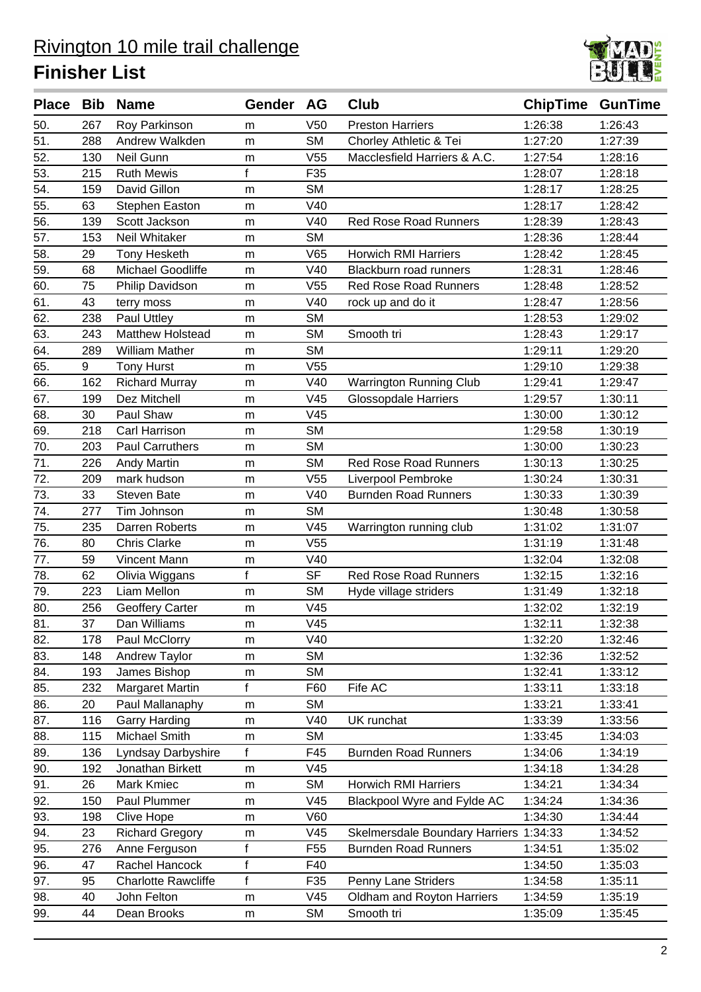

|     |     | Place Bib Name             | Gender    | AG              | <b>Club</b>                            | <b>ChipTime GunTime</b> |         |
|-----|-----|----------------------------|-----------|-----------------|----------------------------------------|-------------------------|---------|
| 50. | 267 | Roy Parkinson              | m         | V <sub>50</sub> | <b>Preston Harriers</b>                | 1:26:38                 | 1:26:43 |
| 51. | 288 | Andrew Walkden             | m         | <b>SM</b>       | Chorley Athletic & Tei                 | 1:27:20                 | 1:27:39 |
| 52. | 130 | Neil Gunn                  | m         | V <sub>55</sub> | Macclesfield Harriers & A.C.           | 1:27:54                 | 1:28:16 |
| 53. | 215 | <b>Ruth Mewis</b>          | f         | F35             |                                        | 1:28:07                 | 1:28:18 |
| 54. | 159 | David Gillon               | m         | <b>SM</b>       |                                        | 1:28:17                 | 1:28:25 |
| 55. | 63  | Stephen Easton             | m         | V40             |                                        | 1:28:17                 | 1:28:42 |
| 56. | 139 | Scott Jackson              | m         | V40             | <b>Red Rose Road Runners</b>           | 1:28:39                 | 1:28:43 |
| 57. | 153 | Neil Whitaker              | m         | <b>SM</b>       |                                        | 1:28:36                 | 1:28:44 |
| 58. | 29  | <b>Tony Hesketh</b>        | m         | V65             | <b>Horwich RMI Harriers</b>            | 1:28:42                 | 1:28:45 |
| 59. | 68  | Michael Goodliffe          | m         | V40             | Blackburn road runners                 | 1:28:31                 | 1:28:46 |
| 60. | 75  | Philip Davidson            | m         | V <sub>55</sub> | <b>Red Rose Road Runners</b>           | 1:28:48                 | 1:28:52 |
| 61. | 43  | terry moss                 | m         | V40             | rock up and do it                      | 1:28:47                 | 1:28:56 |
| 62. | 238 | Paul Uttley                | m         | <b>SM</b>       |                                        | 1:28:53                 | 1:29:02 |
| 63. | 243 | Matthew Holstead           | m         | <b>SM</b>       | Smooth tri                             | 1:28:43                 | 1:29:17 |
| 64. | 289 | <b>William Mather</b>      | m         | <b>SM</b>       |                                        | 1:29:11                 | 1:29:20 |
| 65. | 9   | <b>Tony Hurst</b>          | m         | V55             |                                        | 1:29:10                 | 1:29:38 |
| 66. | 162 | <b>Richard Murray</b>      | m         | V40             | Warrington Running Club                | 1:29:41                 | 1:29:47 |
| 67. | 199 | Dez Mitchell               | m         | V45             | <b>Glossopdale Harriers</b>            | 1:29:57                 | 1:30:11 |
| 68. | 30  | Paul Shaw                  | m         | V45             |                                        | 1:30:00                 | 1:30:12 |
| 69. | 218 | Carl Harrison              | m         | <b>SM</b>       |                                        | 1:29:58                 | 1:30:19 |
| 70. | 203 | <b>Paul Carruthers</b>     | m         | <b>SM</b>       |                                        | 1:30:00                 | 1:30:23 |
| 71. | 226 | <b>Andy Martin</b>         | m         | <b>SM</b>       | <b>Red Rose Road Runners</b>           | 1:30:13                 | 1:30:25 |
| 72. | 209 | mark hudson                | m         | V <sub>55</sub> | Liverpool Pembroke                     | 1:30:24                 | 1:30:31 |
| 73. | 33  | <b>Steven Bate</b>         | m         | V40             | <b>Burnden Road Runners</b>            | 1:30:33                 | 1:30:39 |
| 74. | 277 | Tim Johnson                | m         | <b>SM</b>       |                                        | 1:30:48                 | 1:30:58 |
| 75. | 235 | Darren Roberts             | m         | V45             | Warrington running club                | 1:31:02                 | 1:31:07 |
| 76. | 80  | <b>Chris Clarke</b>        | m         | V <sub>55</sub> |                                        | 1:31:19                 | 1:31:48 |
| 77. | 59  | Vincent Mann               | m         | V40             |                                        | 1:32:04                 | 1:32:08 |
| 78. | 62  | Olivia Wiggans             | f         | <b>SF</b>       | <b>Red Rose Road Runners</b>           | 1:32:15                 | 1:32:16 |
| 79. | 223 | Liam Mellon                | m         | <b>SM</b>       | Hyde village striders                  | 1:31:49                 | 1:32:18 |
| 80. | 256 | Geoffery Carter            | m         | V45             |                                        | 1:32:02                 | 1:32:19 |
| 81. | 37  | Dan Williams               | m         | V45             |                                        | 1:32:11                 | 1:32:38 |
| 82. | 178 | Paul McClorry              | m         | V40             |                                        | 1:32:20                 | 1:32:46 |
| 83. | 148 | Andrew Taylor              | m         | <b>SM</b>       |                                        | 1:32:36                 | 1:32:52 |
| 84. | 193 | James Bishop               | m         | <b>SM</b>       |                                        | 1:32:41                 | 1:33:12 |
| 85. | 232 | Margaret Martin            | f         | F60             | Fife AC                                | 1:33:11                 | 1:33:18 |
| 86. | 20  | Paul Mallanaphy            | m         | <b>SM</b>       |                                        | 1:33:21                 | 1:33:41 |
| 87. | 116 | <b>Garry Harding</b>       | m         | V40             | UK runchat                             | 1:33:39                 | 1:33:56 |
| 88. | 115 | Michael Smith              | m         | <b>SM</b>       |                                        | 1:33:45                 | 1:34:03 |
| 89. | 136 | Lyndsay Darbyshire         | f         | F45             | <b>Burnden Road Runners</b>            | 1:34:06                 | 1:34:19 |
| 90. | 192 | Jonathan Birkett           | m         | V45             |                                        | 1:34:18                 | 1:34:28 |
| 91. | 26  | Mark Kmiec                 | m         | <b>SM</b>       | <b>Horwich RMI Harriers</b>            | 1:34:21                 | 1:34:34 |
| 92. | 150 | Paul Plummer               | m         | V45             | Blackpool Wyre and Fylde AC            | 1:34:24                 | 1:34:36 |
| 93. | 198 | <b>Clive Hope</b>          | m         | V60             |                                        | 1:34:30                 | 1:34:44 |
| 94. | 23  | <b>Richard Gregory</b>     | m         | V45             | Skelmersdale Boundary Harriers 1:34:33 |                         | 1:34:52 |
| 95. | 276 | Anne Ferguson              | f         | F <sub>55</sub> | <b>Burnden Road Runners</b>            | 1:34:51                 | 1:35:02 |
| 96. | 47  | Rachel Hancock             | f         | F40             |                                        | 1:34:50                 | 1:35:03 |
| 97. | 95  | <b>Charlotte Rawcliffe</b> | f         | F35             | Penny Lane Striders                    | 1:34:58                 | 1:35:11 |
| 98. | 40  | John Felton                | ${\sf m}$ | V45             | Oldham and Royton Harriers             | 1:34:59                 | 1:35:19 |
| 99. | 44  | Dean Brooks                | m         | <b>SM</b>       | Smooth tri                             | 1:35:09                 | 1:35:45 |
|     |     |                            |           |                 |                                        |                         |         |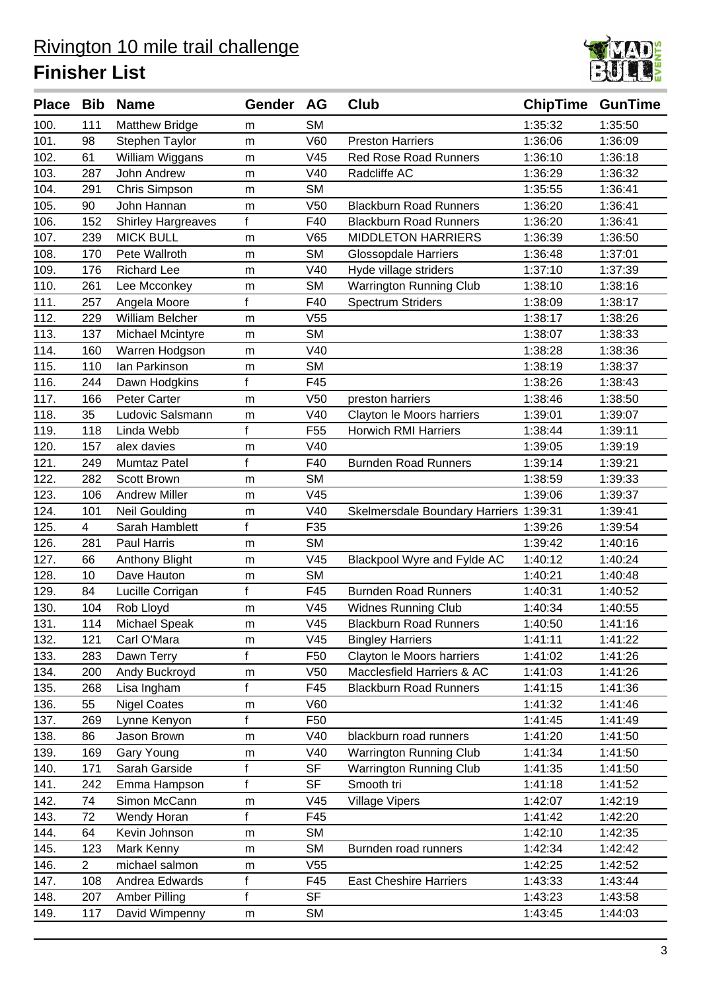

|      |                | Place Bib Name            | Gender AG    |                 | Club                                   | <b>ChipTime GunTime</b> |         |
|------|----------------|---------------------------|--------------|-----------------|----------------------------------------|-------------------------|---------|
| 100. | 111            | <b>Matthew Bridge</b>     | m            | <b>SM</b>       |                                        | 1:35:32                 | 1:35:50 |
| 101. | 98             | Stephen Taylor            | m            | V60             | <b>Preston Harriers</b>                | 1:36:06                 | 1:36:09 |
| 102. | 61             | William Wiggans           | m            | V45             | <b>Red Rose Road Runners</b>           | 1:36:10                 | 1:36:18 |
| 103. | 287            | John Andrew               | m            | V40             | Radcliffe AC                           | 1:36:29                 | 1:36:32 |
| 104. | 291            | Chris Simpson             | m            | <b>SM</b>       |                                        | 1:35:55                 | 1:36:41 |
| 105. | 90             | John Hannan               | m            | V <sub>50</sub> | <b>Blackburn Road Runners</b>          | 1:36:20                 | 1:36:41 |
| 106. | 152            | <b>Shirley Hargreaves</b> | $\mathsf{f}$ | F40             | <b>Blackburn Road Runners</b>          | 1:36:20                 | 1:36:41 |
| 107. | 239            | <b>MICK BULL</b>          | m            | V65             | <b>MIDDLETON HARRIERS</b>              | 1:36:39                 | 1:36:50 |
| 108. | 170            | Pete Wallroth             | m            | <b>SM</b>       | <b>Glossopdale Harriers</b>            | 1:36:48                 | 1:37:01 |
| 109. | 176            | <b>Richard Lee</b>        | m            | V40             | Hyde village striders                  | 1:37:10                 | 1:37:39 |
| 110. | 261            | Lee Mcconkey              | m            | <b>SM</b>       | <b>Warrington Running Club</b>         | 1:38:10                 | 1:38:16 |
| 111. | 257            | Angela Moore              | f            | F40             | <b>Spectrum Striders</b>               | 1:38:09                 | 1:38:17 |
| 112. | 229            | William Belcher           | m            | V <sub>55</sub> |                                        | 1:38:17                 | 1:38:26 |
| 113. | 137            | Michael Mcintyre          | m            | <b>SM</b>       |                                        | 1:38:07                 | 1:38:33 |
| 114. | 160            | Warren Hodgson            | m            | V40             |                                        | 1:38:28                 | 1:38:36 |
| 115. | 110            | lan Parkinson             | m            | <b>SM</b>       |                                        | 1:38:19                 | 1:38:37 |
| 116. | 244            | Dawn Hodgkins             | f            | F45             |                                        | 1:38:26                 | 1:38:43 |
| 117. | 166            | Peter Carter              | m            | V <sub>50</sub> | preston harriers                       | 1:38:46                 | 1:38:50 |
| 118. | 35             | Ludovic Salsmann          | m            | V40             | Clayton le Moors harriers              | 1:39:01                 | 1:39:07 |
| 119. | 118            | Linda Webb                | f            | F <sub>55</sub> | <b>Horwich RMI Harriers</b>            | 1:38:44                 | 1:39:11 |
| 120. | 157            | alex davies               | m            | V40             |                                        | 1:39:05                 | 1:39:19 |
| 121. | 249            | Mumtaz Patel              | $\mathsf{f}$ | F40             | <b>Burnden Road Runners</b>            | 1:39:14                 | 1:39:21 |
| 122. | 282            | Scott Brown               | m            | <b>SM</b>       |                                        | 1:38:59                 | 1:39:33 |
| 123. | 106            | <b>Andrew Miller</b>      | m            | V45             |                                        | 1:39:06                 | 1:39:37 |
| 124. | 101            | Neil Goulding             | m            | V40             | Skelmersdale Boundary Harriers 1:39:31 |                         | 1:39:41 |
| 125. | 4              | Sarah Hamblett            | f            | F35             |                                        | 1:39:26                 | 1:39:54 |
| 126. | 281            | <b>Paul Harris</b>        | m            | <b>SM</b>       |                                        | 1:39:42                 | 1:40:16 |
| 127. | 66             | Anthony Blight            | m            | V45             | Blackpool Wyre and Fylde AC            | 1:40:12                 | 1:40:24 |
| 128. | 10             | Dave Hauton               | m            | <b>SM</b>       |                                        | 1:40:21                 | 1:40:48 |
| 129. | 84             | Lucille Corrigan          | f            | F45             | <b>Burnden Road Runners</b>            | 1:40:31                 | 1:40:52 |
| 130. | 104            | Rob Lloyd                 | m            | V45             | Widnes Running Club                    | 1:40:34                 | 1:40:55 |
| 131. | 114            | Michael Speak             | m            | V45             | <b>Blackburn Road Runners</b>          | 1:40:50                 | 1:41:16 |
| 132. | 121            | Carl O'Mara               | m            | V45             | <b>Bingley Harriers</b>                | 1:41:11                 | 1:41:22 |
| 133. | 283            | Dawn Terry                | f            | F50             | Clayton le Moors harriers              | 1:41:02                 | 1:41:26 |
| 134. | 200            | Andy Buckroyd             | m            | V <sub>50</sub> | Macclesfield Harriers & AC             | 1:41:03                 | 1:41:26 |
| 135. | 268            | Lisa Ingham               | $\mathsf{f}$ | F45             | <b>Blackburn Road Runners</b>          | 1:41:15                 | 1:41:36 |
| 136. | 55             | <b>Nigel Coates</b>       | m            | V60             |                                        | 1:41:32                 | 1:41:46 |
| 137. | 269            | Lynne Kenyon              | f            | F50             |                                        | 1:41:45                 | 1:41:49 |
| 138. | 86             | Jason Brown               | m            | V40             | blackburn road runners                 | 1:41:20                 | 1:41:50 |
| 139. | 169            | Gary Young                | m            | V40             | <b>Warrington Running Club</b>         | 1:41:34                 | 1:41:50 |
| 140. | 171            | Sarah Garside             | f            | <b>SF</b>       | <b>Warrington Running Club</b>         | 1:41:35                 | 1:41:50 |
| 141. | 242            | Emma Hampson              | $\mathsf{f}$ | <b>SF</b>       | Smooth tri                             | 1:41:18                 | 1:41:52 |
| 142. | 74             | Simon McCann              | m            | V45             | <b>Village Vipers</b>                  | 1:42:07                 | 1:42:19 |
| 143. | 72             | Wendy Horan               | f            | F45             |                                        | 1:41:42                 | 1:42:20 |
| 144. | 64             | Kevin Johnson             | m            | <b>SM</b>       |                                        | 1:42:10                 | 1:42:35 |
| 145. | 123            | Mark Kenny                | ${\sf m}$    | <b>SM</b>       | Burnden road runners                   | 1:42:34                 | 1:42:42 |
| 146. | $\overline{2}$ | michael salmon            | m            | V55             |                                        | 1:42:25                 | 1:42:52 |
| 147. | 108            | Andrea Edwards            | f            | F45             | <b>East Cheshire Harriers</b>          | 1:43:33                 | 1:43:44 |
| 148. | 207            | Amber Pilling             | $\mathsf{f}$ | <b>SF</b>       |                                        | 1:43:23                 | 1:43:58 |
| 149. | 117            | David Wimpenny            | m            | <b>SM</b>       |                                        | 1:43:45                 | 1:44:03 |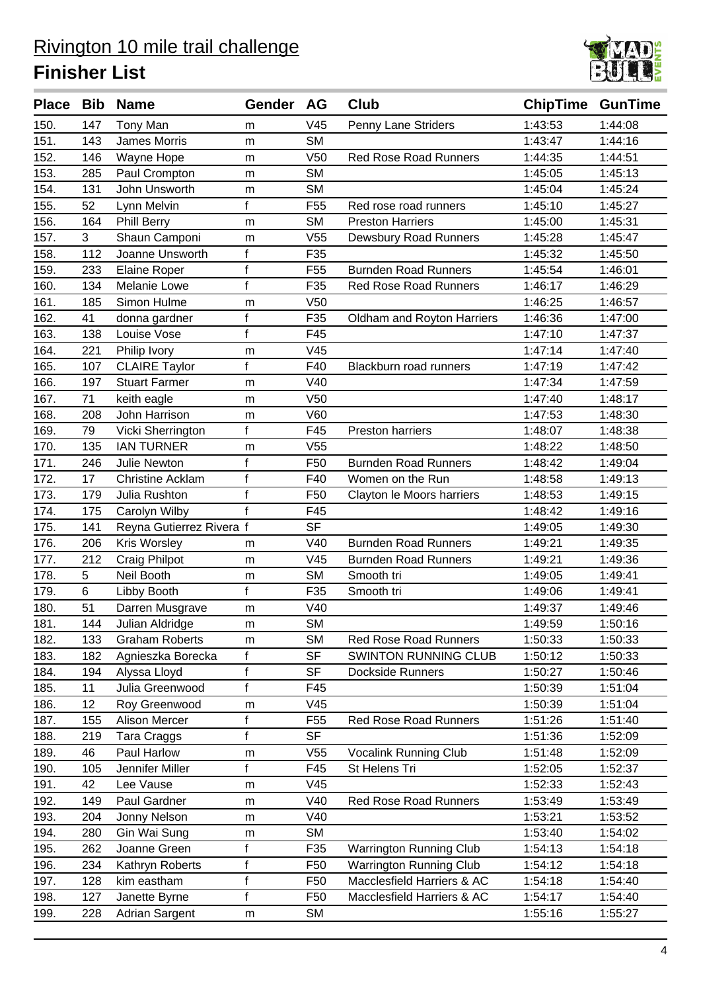

|      |     | Place Bib Name           | <b>Gender</b> | <b>AG</b>       | <b>Club</b>                    | <b>ChipTime GunTime</b> |         |
|------|-----|--------------------------|---------------|-----------------|--------------------------------|-------------------------|---------|
| 150. | 147 | Tony Man                 | m             | V45             | Penny Lane Striders            | 1:43:53                 | 1:44:08 |
| 151. | 143 | <b>James Morris</b>      | m             | <b>SM</b>       |                                | 1:43:47                 | 1:44:16 |
| 152. | 146 | Wayne Hope               | m             | V <sub>50</sub> | <b>Red Rose Road Runners</b>   | 1:44:35                 | 1:44:51 |
| 153. | 285 | Paul Crompton            | m             | <b>SM</b>       |                                | 1:45:05                 | 1:45:13 |
| 154. | 131 | John Unsworth            | m             | <b>SM</b>       |                                | 1:45:04                 | 1:45:24 |
| 155. | 52  | Lynn Melvin              | f             | F <sub>55</sub> | Red rose road runners          | 1:45:10                 | 1:45:27 |
| 156. | 164 | Phill Berry              | m             | <b>SM</b>       | <b>Preston Harriers</b>        | 1:45:00                 | 1:45:31 |
| 157. | 3   | Shaun Camponi            | m             | V <sub>55</sub> | Dewsbury Road Runners          | 1:45:28                 | 1:45:47 |
| 158. | 112 | Joanne Unsworth          | f             | F35             |                                | 1:45:32                 | 1:45:50 |
| 159. | 233 | <b>Elaine Roper</b>      | $\mathsf{f}$  | F <sub>55</sub> | <b>Burnden Road Runners</b>    | 1:45:54                 | 1:46:01 |
| 160. | 134 | Melanie Lowe             | $\mathsf{f}$  | F35             | <b>Red Rose Road Runners</b>   | 1:46:17                 | 1:46:29 |
| 161. | 185 | Simon Hulme              | m             | V <sub>50</sub> |                                | 1:46:25                 | 1:46:57 |
| 162. | 41  | donna gardner            | f             | F35             | Oldham and Royton Harriers     | 1:46:36                 | 1:47:00 |
| 163. | 138 | Louise Vose              | $\mathsf{f}$  | F45             |                                | 1:47:10                 | 1:47:37 |
| 164. | 221 | Philip Ivory             | m             | V45             |                                | 1:47:14                 | 1:47:40 |
| 165. | 107 | <b>CLAIRE Taylor</b>     | f             | F40             | Blackburn road runners         | 1:47:19                 | 1:47:42 |
| 166. | 197 | <b>Stuart Farmer</b>     | m             | V40             |                                | 1:47:34                 | 1:47:59 |
| 167. | 71  | keith eagle              | m             | V <sub>50</sub> |                                | 1:47:40                 | 1:48:17 |
| 168. | 208 | John Harrison            | m             | V60             |                                | 1:47:53                 | 1:48:30 |
| 169. | 79  | Vicki Sherrington        | f             | F45             | Preston harriers               | 1:48:07                 | 1:48:38 |
| 170. | 135 | <b>IAN TURNER</b>        | m             | V <sub>55</sub> |                                | 1:48:22                 | 1:48:50 |
| 171. | 246 | <b>Julie Newton</b>      | $\mathsf f$   | F <sub>50</sub> | <b>Burnden Road Runners</b>    | 1:48:42                 | 1:49:04 |
| 172. | 17  | <b>Christine Acklam</b>  | f             | F40             | Women on the Run               | 1:48:58                 | 1:49:13 |
| 173. | 179 | Julia Rushton            | f             | F <sub>50</sub> | Clayton le Moors harriers      | 1:48:53                 | 1:49:15 |
| 174. | 175 | Carolyn Wilby            | f             | F45             |                                | 1:48:42                 | 1:49:16 |
| 175. | 141 | Reyna Gutierrez Rivera f |               | <b>SF</b>       |                                | 1:49:05                 | 1:49:30 |
| 176. | 206 | Kris Worsley             | m             | V40             | <b>Burnden Road Runners</b>    | 1:49:21                 | 1:49:35 |
| 177. | 212 | Craig Philpot            | m             | V45             | <b>Burnden Road Runners</b>    | 1:49:21                 | 1:49:36 |
| 178. | 5   | Neil Booth               | m             | <b>SM</b>       | Smooth tri                     | 1:49:05                 | 1:49:41 |
| 179. | 6   | Libby Booth              | $\mathsf{f}$  | F35             | Smooth tri                     | 1:49:06                 | 1:49:41 |
| 180. | 51  | Darren Musgrave          | m             | V40             |                                | 1:49:37                 | 1:49:46 |
| 181. | 144 | Julian Aldridge          | m             | <b>SM</b>       |                                | 1:49:59                 | 1:50:16 |
| 182. | 133 | <b>Graham Roberts</b>    | m             | <b>SM</b>       | <b>Red Rose Road Runners</b>   | 1:50:33                 | 1:50:33 |
| 183. | 182 | Agnieszka Borecka        | f             | <b>SF</b>       | <b>SWINTON RUNNING CLUB</b>    | 1:50:12                 | 1:50:33 |
| 184. | 194 | Alyssa Lloyd             | f             | <b>SF</b>       | <b>Dockside Runners</b>        | 1:50:27                 | 1:50:46 |
| 185. | 11  | Julia Greenwood          | $\mathsf{f}$  | F45             |                                | 1:50:39                 | 1:51:04 |
| 186. | 12  | Roy Greenwood            | m             | V45             |                                | 1:50:39                 | 1:51:04 |
| 187. | 155 | <b>Alison Mercer</b>     | f             | F <sub>55</sub> | <b>Red Rose Road Runners</b>   | 1:51:26                 | 1:51:40 |
| 188. | 219 | <b>Tara Craggs</b>       | $\mathsf{f}$  | <b>SF</b>       |                                | 1:51:36                 | 1:52:09 |
| 189. | 46  | Paul Harlow              | m             | V55             | Vocalink Running Club          | 1:51:48                 | 1:52:09 |
| 190. | 105 | Jennifer Miller          | f             | F45             | St Helens Tri                  | 1:52:05                 | 1:52:37 |
| 191. | 42  | Lee Vause                | m             | V45             |                                | 1:52:33                 | 1:52:43 |
| 192. | 149 | Paul Gardner             | m             | V40             | Red Rose Road Runners          | 1:53:49                 | 1:53:49 |
| 193. | 204 | Jonny Nelson             | m             | V40             |                                | 1:53:21                 | 1:53:52 |
| 194. | 280 | Gin Wai Sung             | m             | <b>SM</b>       |                                | 1:53:40                 | 1:54:02 |
| 195. | 262 | Joanne Green             | f             | F35             | Warrington Running Club        | 1:54:13                 | 1:54:18 |
| 196. | 234 | Kathryn Roberts          | f             | F <sub>50</sub> | <b>Warrington Running Club</b> | 1:54:12                 | 1:54:18 |
| 197. | 128 | kim eastham              | $\mathsf f$   | F50             | Macclesfield Harriers & AC     | 1:54:18                 | 1:54:40 |
| 198. | 127 | Janette Byrne            | $\mathsf{f}$  | F50             | Macclesfield Harriers & AC     | 1:54:17                 | 1:54:40 |
| 199. | 228 | Adrian Sargent           | m             | <b>SM</b>       |                                | 1:55:16                 | 1:55:27 |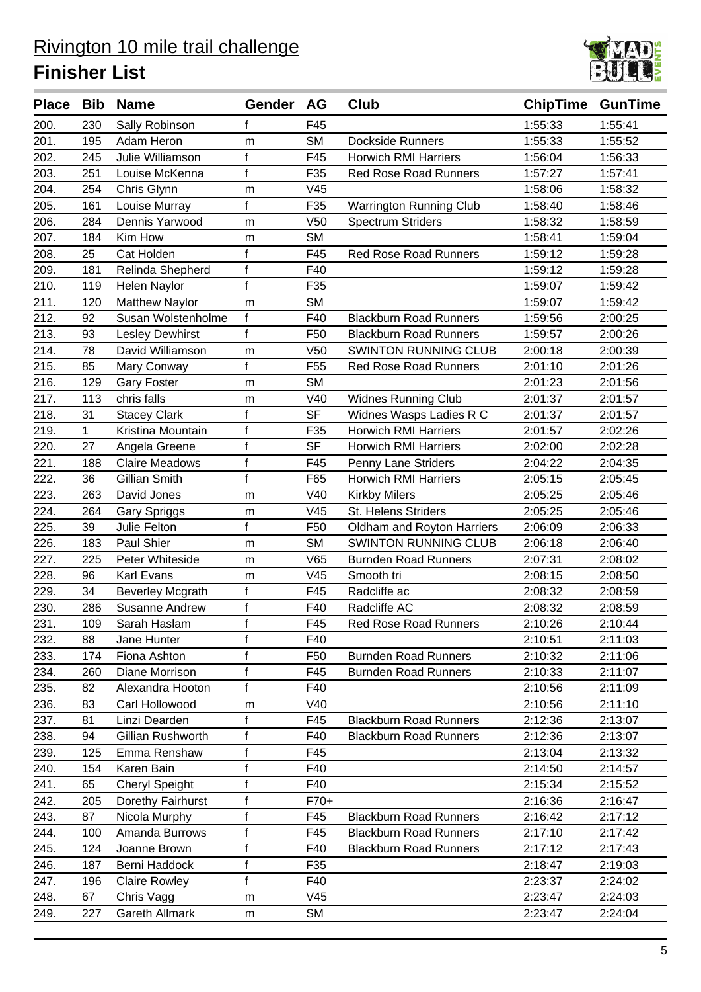

| F45<br>1:55:33<br>200.<br>230<br>Sally Robinson<br>1:55:41<br>f<br>Adam Heron<br><b>SM</b><br>1:55:33<br>201.<br>195<br><b>Dockside Runners</b><br>1:55:52<br>m<br>$\mathsf{f}$<br>202.<br>F45<br>245<br>Julie Williamson<br><b>Horwich RMI Harriers</b><br>1:56:04<br>1:56:33<br>$\mathsf{f}$<br>203.<br>F35<br>251<br>Louise McKenna<br><b>Red Rose Road Runners</b><br>1:57:27<br>1:57:41<br>204.<br>V <sub>45</sub><br>1:58:06<br>254<br>Chris Glynn<br>1:58:32<br>m<br>f<br>205.<br>F35<br>Warrington Running Club<br>1:58:46<br>161<br>Louise Murray<br>1:58:40<br>206.<br>Dennis Yarwood<br>V <sub>50</sub><br><b>Spectrum Striders</b><br>284<br>1:58:32<br>1:58:59<br>m<br>207.<br><b>SM</b><br>Kim How<br>184<br>1:58:41<br>1:59:04<br>m<br>208.<br>f<br>25<br>Cat Holden<br>F45<br><b>Red Rose Road Runners</b><br>1:59:12<br>1:59:28<br>$\mathsf{f}$<br>209.<br>F40<br>1:59:12<br>181<br>Relinda Shepherd<br>1:59:28<br>f<br>F35<br>210.<br>119<br>Helen Naylor<br>1:59:07<br>1:59:42<br><b>SM</b><br><b>Matthew Naylor</b><br>211.<br>120<br>1:59:07<br>1:59:42<br>m<br>212.<br>f<br>Susan Wolstenholme<br>F40<br>2:00:25<br>92<br><b>Blackburn Road Runners</b><br>1:59:56<br>f<br>213.<br>F <sub>50</sub><br><b>Blackburn Road Runners</b><br>2:00:26<br>93<br><b>Lesley Dewhirst</b><br>1:59:57<br>214.<br>78<br>David Williamson<br>V <sub>50</sub><br><b>SWINTON RUNNING CLUB</b><br>2:00:39<br>2:00:18<br>m<br>f<br>215.<br>F <sub>55</sub><br>2:01:10<br>2:01:26<br>85<br>Mary Conway<br><b>Red Rose Road Runners</b><br><b>SM</b><br>216.<br>2:01:23<br>2:01:56<br>129<br><b>Gary Foster</b><br>m<br>217.<br>113<br>chris falls<br>V40<br><b>Widnes Running Club</b><br>2:01:37<br>2:01:57<br>m<br><b>SF</b><br>218.<br>Widnes Wasps Ladies R C<br>31<br><b>Stacey Clark</b><br>f<br>2:01:37<br>2:01:57<br>219.<br>f<br><b>Horwich RMI Harriers</b><br>1<br>Kristina Mountain<br>F35<br>2:01:57<br>2:02:26<br>$\mathsf{f}$<br><b>SF</b><br>220.<br><b>Horwich RMI Harriers</b><br>27<br>2:02:00<br>2:02:28<br>Angela Greene<br>221.<br>$\mathsf f$<br>188<br><b>Claire Meadows</b><br>F45<br>Penny Lane Striders<br>2:04:22<br>2:04:35<br>f<br>222.<br>Gillian Smith<br>F65<br>36<br><b>Horwich RMI Harriers</b><br>2:05:15<br>2:05:45<br>223.<br>David Jones<br>V40<br>2:05:25<br>263<br><b>Kirkby Milers</b><br>2:05:46<br>m<br>224.<br>264<br>V45<br>St. Helens Striders<br>2:05:25<br>2:05:46<br>Gary Spriggs<br>m<br>f<br>225.<br>39<br>Julie Felton<br>F <sub>50</sub><br>Oldham and Royton Harriers<br>2:06:09<br>2:06:33<br><b>SWINTON RUNNING CLUB</b><br>226.<br>Paul Shier<br><b>SM</b><br>2:06:18<br>2:06:40<br>183<br>m<br>227.<br>225<br>Peter Whiteside<br>V65<br><b>Burnden Road Runners</b><br>2:07:31<br>2:08:02<br>m<br>228.<br>96<br>Karl Evans<br>V45<br>Smooth tri<br>2:08:15<br>2:08:50<br>m<br>229.<br>34<br>f<br>F45<br>Radcliffe ac<br>2:08:32<br>2:08:59<br><b>Beverley Mcgrath</b><br>$\mathsf f$<br>230.<br>F40<br>Radcliffe AC<br>2:08:32<br>286<br>2:08:59<br>Susanne Andrew<br>$\mathsf{f}$<br>231.<br>F45<br><b>Red Rose Road Runners</b><br>2:10:26<br>109<br>Sarah Haslam<br>2:10:44<br>$\mathsf{f}$<br>F40<br>232.<br>88<br>Jane Hunter<br>2:10:51<br>2:11:03<br>f<br>F50<br><b>Burnden Road Runners</b><br>2:10:32<br>2:11:06<br>233.<br>174<br>Fiona Ashton<br>f<br>F45<br>2:11:07<br>234.<br>260<br>Diane Morrison<br><b>Burnden Road Runners</b><br>2:10:33<br>$\mathsf{f}$<br>235.<br>F40<br>82<br>Alexandra Hooton<br>2:10:56<br>2:11:09<br>236.<br>Carl Hollowood<br>V40<br>83<br>2:10:56<br>2:11:10<br>m<br>237.<br>Linzi Dearden<br>F45<br><b>Blackburn Road Runners</b><br>2:12:36<br>2:13:07<br>81<br>f<br>f<br>238.<br>Gillian Rushworth<br>F40<br><b>Blackburn Road Runners</b><br>2:12:36<br>2:13:07<br>94<br>f<br>239.<br>Emma Renshaw<br>F45<br>2:13:04<br>2:13:32<br>125<br>f<br>F40<br>240.<br>Karen Bain<br>154<br>2:14:50<br>2:14:57<br><b>Cheryl Speight</b><br>f<br>F40<br>2:15:34<br>241.<br>65<br>2:15:52<br>f<br>242.<br>Dorethy Fairhurst<br>$F70+$<br>205<br>2:16:36<br>2:16:47<br>f<br>243.<br>Nicola Murphy<br>F45<br><b>Blackburn Road Runners</b><br>2:16:42<br>2:17:12<br>87<br>Amanda Burrows<br>f<br>F45<br><b>Blackburn Road Runners</b><br>2:17:10<br>2:17:42<br>244.<br>100<br>245.<br>f<br>F40<br>2:17:12<br>2:17:43<br>124<br>Joanne Brown<br><b>Blackburn Road Runners</b><br>$\mathsf f$<br>246.<br>Berni Haddock<br>F35<br>187<br>2:18:47<br>2:19:03<br>f<br>F40<br>247.<br>196<br><b>Claire Rowley</b><br>2:23:37<br>2:24:02<br>248.<br>67<br>Chris Vagg<br>V45<br>2:23:47<br>2:24:03<br>m<br>249.<br>227<br>Gareth Allmark<br>SM<br>2:24:04<br>2:23:47<br>m |  | Place Bib Name | Gender AG | Club | <b>ChipTime GunTime</b> |  |
|------------------------------------------------------------------------------------------------------------------------------------------------------------------------------------------------------------------------------------------------------------------------------------------------------------------------------------------------------------------------------------------------------------------------------------------------------------------------------------------------------------------------------------------------------------------------------------------------------------------------------------------------------------------------------------------------------------------------------------------------------------------------------------------------------------------------------------------------------------------------------------------------------------------------------------------------------------------------------------------------------------------------------------------------------------------------------------------------------------------------------------------------------------------------------------------------------------------------------------------------------------------------------------------------------------------------------------------------------------------------------------------------------------------------------------------------------------------------------------------------------------------------------------------------------------------------------------------------------------------------------------------------------------------------------------------------------------------------------------------------------------------------------------------------------------------------------------------------------------------------------------------------------------------------------------------------------------------------------------------------------------------------------------------------------------------------------------------------------------------------------------------------------------------------------------------------------------------------------------------------------------------------------------------------------------------------------------------------------------------------------------------------------------------------------------------------------------------------------------------------------------------------------------------------------------------------------------------------------------------------------------------------------------------------------------------------------------------------------------------------------------------------------------------------------------------------------------------------------------------------------------------------------------------------------------------------------------------------------------------------------------------------------------------------------------------------------------------------------------------------------------------------------------------------------------------------------------------------------------------------------------------------------------------------------------------------------------------------------------------------------------------------------------------------------------------------------------------------------------------------------------------------------------------------------------------------------------------------------------------------------------------------------------------------------------------------------------------------------------------------------------------------------------------------------------------------------------------------------------------------------------------------------------------------------------------------------------------------------------------------------------------------------------------------------------------------------------------------------------------------------------------------------------------------------------------------------------------------------------------------------------------------------------------------------------------------------------------------------------------------------------------------------------------------------------------------------------------------------------------------------------------------------------------------------------------------------------------------------------------------------------------------------------------|--|----------------|-----------|------|-------------------------|--|
|                                                                                                                                                                                                                                                                                                                                                                                                                                                                                                                                                                                                                                                                                                                                                                                                                                                                                                                                                                                                                                                                                                                                                                                                                                                                                                                                                                                                                                                                                                                                                                                                                                                                                                                                                                                                                                                                                                                                                                                                                                                                                                                                                                                                                                                                                                                                                                                                                                                                                                                                                                                                                                                                                                                                                                                                                                                                                                                                                                                                                                                                                                                                                                                                                                                                                                                                                                                                                                                                                                                                                                                                                                                                                                                                                                                                                                                                                                                                                                                                                                                                                                                                                                                                                                                                                                                                                                                                                                                                                                                                                                                                                                                                  |  |                |           |      |                         |  |
|                                                                                                                                                                                                                                                                                                                                                                                                                                                                                                                                                                                                                                                                                                                                                                                                                                                                                                                                                                                                                                                                                                                                                                                                                                                                                                                                                                                                                                                                                                                                                                                                                                                                                                                                                                                                                                                                                                                                                                                                                                                                                                                                                                                                                                                                                                                                                                                                                                                                                                                                                                                                                                                                                                                                                                                                                                                                                                                                                                                                                                                                                                                                                                                                                                                                                                                                                                                                                                                                                                                                                                                                                                                                                                                                                                                                                                                                                                                                                                                                                                                                                                                                                                                                                                                                                                                                                                                                                                                                                                                                                                                                                                                                  |  |                |           |      |                         |  |
|                                                                                                                                                                                                                                                                                                                                                                                                                                                                                                                                                                                                                                                                                                                                                                                                                                                                                                                                                                                                                                                                                                                                                                                                                                                                                                                                                                                                                                                                                                                                                                                                                                                                                                                                                                                                                                                                                                                                                                                                                                                                                                                                                                                                                                                                                                                                                                                                                                                                                                                                                                                                                                                                                                                                                                                                                                                                                                                                                                                                                                                                                                                                                                                                                                                                                                                                                                                                                                                                                                                                                                                                                                                                                                                                                                                                                                                                                                                                                                                                                                                                                                                                                                                                                                                                                                                                                                                                                                                                                                                                                                                                                                                                  |  |                |           |      |                         |  |
|                                                                                                                                                                                                                                                                                                                                                                                                                                                                                                                                                                                                                                                                                                                                                                                                                                                                                                                                                                                                                                                                                                                                                                                                                                                                                                                                                                                                                                                                                                                                                                                                                                                                                                                                                                                                                                                                                                                                                                                                                                                                                                                                                                                                                                                                                                                                                                                                                                                                                                                                                                                                                                                                                                                                                                                                                                                                                                                                                                                                                                                                                                                                                                                                                                                                                                                                                                                                                                                                                                                                                                                                                                                                                                                                                                                                                                                                                                                                                                                                                                                                                                                                                                                                                                                                                                                                                                                                                                                                                                                                                                                                                                                                  |  |                |           |      |                         |  |
|                                                                                                                                                                                                                                                                                                                                                                                                                                                                                                                                                                                                                                                                                                                                                                                                                                                                                                                                                                                                                                                                                                                                                                                                                                                                                                                                                                                                                                                                                                                                                                                                                                                                                                                                                                                                                                                                                                                                                                                                                                                                                                                                                                                                                                                                                                                                                                                                                                                                                                                                                                                                                                                                                                                                                                                                                                                                                                                                                                                                                                                                                                                                                                                                                                                                                                                                                                                                                                                                                                                                                                                                                                                                                                                                                                                                                                                                                                                                                                                                                                                                                                                                                                                                                                                                                                                                                                                                                                                                                                                                                                                                                                                                  |  |                |           |      |                         |  |
|                                                                                                                                                                                                                                                                                                                                                                                                                                                                                                                                                                                                                                                                                                                                                                                                                                                                                                                                                                                                                                                                                                                                                                                                                                                                                                                                                                                                                                                                                                                                                                                                                                                                                                                                                                                                                                                                                                                                                                                                                                                                                                                                                                                                                                                                                                                                                                                                                                                                                                                                                                                                                                                                                                                                                                                                                                                                                                                                                                                                                                                                                                                                                                                                                                                                                                                                                                                                                                                                                                                                                                                                                                                                                                                                                                                                                                                                                                                                                                                                                                                                                                                                                                                                                                                                                                                                                                                                                                                                                                                                                                                                                                                                  |  |                |           |      |                         |  |
|                                                                                                                                                                                                                                                                                                                                                                                                                                                                                                                                                                                                                                                                                                                                                                                                                                                                                                                                                                                                                                                                                                                                                                                                                                                                                                                                                                                                                                                                                                                                                                                                                                                                                                                                                                                                                                                                                                                                                                                                                                                                                                                                                                                                                                                                                                                                                                                                                                                                                                                                                                                                                                                                                                                                                                                                                                                                                                                                                                                                                                                                                                                                                                                                                                                                                                                                                                                                                                                                                                                                                                                                                                                                                                                                                                                                                                                                                                                                                                                                                                                                                                                                                                                                                                                                                                                                                                                                                                                                                                                                                                                                                                                                  |  |                |           |      |                         |  |
|                                                                                                                                                                                                                                                                                                                                                                                                                                                                                                                                                                                                                                                                                                                                                                                                                                                                                                                                                                                                                                                                                                                                                                                                                                                                                                                                                                                                                                                                                                                                                                                                                                                                                                                                                                                                                                                                                                                                                                                                                                                                                                                                                                                                                                                                                                                                                                                                                                                                                                                                                                                                                                                                                                                                                                                                                                                                                                                                                                                                                                                                                                                                                                                                                                                                                                                                                                                                                                                                                                                                                                                                                                                                                                                                                                                                                                                                                                                                                                                                                                                                                                                                                                                                                                                                                                                                                                                                                                                                                                                                                                                                                                                                  |  |                |           |      |                         |  |
|                                                                                                                                                                                                                                                                                                                                                                                                                                                                                                                                                                                                                                                                                                                                                                                                                                                                                                                                                                                                                                                                                                                                                                                                                                                                                                                                                                                                                                                                                                                                                                                                                                                                                                                                                                                                                                                                                                                                                                                                                                                                                                                                                                                                                                                                                                                                                                                                                                                                                                                                                                                                                                                                                                                                                                                                                                                                                                                                                                                                                                                                                                                                                                                                                                                                                                                                                                                                                                                                                                                                                                                                                                                                                                                                                                                                                                                                                                                                                                                                                                                                                                                                                                                                                                                                                                                                                                                                                                                                                                                                                                                                                                                                  |  |                |           |      |                         |  |
|                                                                                                                                                                                                                                                                                                                                                                                                                                                                                                                                                                                                                                                                                                                                                                                                                                                                                                                                                                                                                                                                                                                                                                                                                                                                                                                                                                                                                                                                                                                                                                                                                                                                                                                                                                                                                                                                                                                                                                                                                                                                                                                                                                                                                                                                                                                                                                                                                                                                                                                                                                                                                                                                                                                                                                                                                                                                                                                                                                                                                                                                                                                                                                                                                                                                                                                                                                                                                                                                                                                                                                                                                                                                                                                                                                                                                                                                                                                                                                                                                                                                                                                                                                                                                                                                                                                                                                                                                                                                                                                                                                                                                                                                  |  |                |           |      |                         |  |
|                                                                                                                                                                                                                                                                                                                                                                                                                                                                                                                                                                                                                                                                                                                                                                                                                                                                                                                                                                                                                                                                                                                                                                                                                                                                                                                                                                                                                                                                                                                                                                                                                                                                                                                                                                                                                                                                                                                                                                                                                                                                                                                                                                                                                                                                                                                                                                                                                                                                                                                                                                                                                                                                                                                                                                                                                                                                                                                                                                                                                                                                                                                                                                                                                                                                                                                                                                                                                                                                                                                                                                                                                                                                                                                                                                                                                                                                                                                                                                                                                                                                                                                                                                                                                                                                                                                                                                                                                                                                                                                                                                                                                                                                  |  |                |           |      |                         |  |
|                                                                                                                                                                                                                                                                                                                                                                                                                                                                                                                                                                                                                                                                                                                                                                                                                                                                                                                                                                                                                                                                                                                                                                                                                                                                                                                                                                                                                                                                                                                                                                                                                                                                                                                                                                                                                                                                                                                                                                                                                                                                                                                                                                                                                                                                                                                                                                                                                                                                                                                                                                                                                                                                                                                                                                                                                                                                                                                                                                                                                                                                                                                                                                                                                                                                                                                                                                                                                                                                                                                                                                                                                                                                                                                                                                                                                                                                                                                                                                                                                                                                                                                                                                                                                                                                                                                                                                                                                                                                                                                                                                                                                                                                  |  |                |           |      |                         |  |
|                                                                                                                                                                                                                                                                                                                                                                                                                                                                                                                                                                                                                                                                                                                                                                                                                                                                                                                                                                                                                                                                                                                                                                                                                                                                                                                                                                                                                                                                                                                                                                                                                                                                                                                                                                                                                                                                                                                                                                                                                                                                                                                                                                                                                                                                                                                                                                                                                                                                                                                                                                                                                                                                                                                                                                                                                                                                                                                                                                                                                                                                                                                                                                                                                                                                                                                                                                                                                                                                                                                                                                                                                                                                                                                                                                                                                                                                                                                                                                                                                                                                                                                                                                                                                                                                                                                                                                                                                                                                                                                                                                                                                                                                  |  |                |           |      |                         |  |
|                                                                                                                                                                                                                                                                                                                                                                                                                                                                                                                                                                                                                                                                                                                                                                                                                                                                                                                                                                                                                                                                                                                                                                                                                                                                                                                                                                                                                                                                                                                                                                                                                                                                                                                                                                                                                                                                                                                                                                                                                                                                                                                                                                                                                                                                                                                                                                                                                                                                                                                                                                                                                                                                                                                                                                                                                                                                                                                                                                                                                                                                                                                                                                                                                                                                                                                                                                                                                                                                                                                                                                                                                                                                                                                                                                                                                                                                                                                                                                                                                                                                                                                                                                                                                                                                                                                                                                                                                                                                                                                                                                                                                                                                  |  |                |           |      |                         |  |
|                                                                                                                                                                                                                                                                                                                                                                                                                                                                                                                                                                                                                                                                                                                                                                                                                                                                                                                                                                                                                                                                                                                                                                                                                                                                                                                                                                                                                                                                                                                                                                                                                                                                                                                                                                                                                                                                                                                                                                                                                                                                                                                                                                                                                                                                                                                                                                                                                                                                                                                                                                                                                                                                                                                                                                                                                                                                                                                                                                                                                                                                                                                                                                                                                                                                                                                                                                                                                                                                                                                                                                                                                                                                                                                                                                                                                                                                                                                                                                                                                                                                                                                                                                                                                                                                                                                                                                                                                                                                                                                                                                                                                                                                  |  |                |           |      |                         |  |
|                                                                                                                                                                                                                                                                                                                                                                                                                                                                                                                                                                                                                                                                                                                                                                                                                                                                                                                                                                                                                                                                                                                                                                                                                                                                                                                                                                                                                                                                                                                                                                                                                                                                                                                                                                                                                                                                                                                                                                                                                                                                                                                                                                                                                                                                                                                                                                                                                                                                                                                                                                                                                                                                                                                                                                                                                                                                                                                                                                                                                                                                                                                                                                                                                                                                                                                                                                                                                                                                                                                                                                                                                                                                                                                                                                                                                                                                                                                                                                                                                                                                                                                                                                                                                                                                                                                                                                                                                                                                                                                                                                                                                                                                  |  |                |           |      |                         |  |
|                                                                                                                                                                                                                                                                                                                                                                                                                                                                                                                                                                                                                                                                                                                                                                                                                                                                                                                                                                                                                                                                                                                                                                                                                                                                                                                                                                                                                                                                                                                                                                                                                                                                                                                                                                                                                                                                                                                                                                                                                                                                                                                                                                                                                                                                                                                                                                                                                                                                                                                                                                                                                                                                                                                                                                                                                                                                                                                                                                                                                                                                                                                                                                                                                                                                                                                                                                                                                                                                                                                                                                                                                                                                                                                                                                                                                                                                                                                                                                                                                                                                                                                                                                                                                                                                                                                                                                                                                                                                                                                                                                                                                                                                  |  |                |           |      |                         |  |
|                                                                                                                                                                                                                                                                                                                                                                                                                                                                                                                                                                                                                                                                                                                                                                                                                                                                                                                                                                                                                                                                                                                                                                                                                                                                                                                                                                                                                                                                                                                                                                                                                                                                                                                                                                                                                                                                                                                                                                                                                                                                                                                                                                                                                                                                                                                                                                                                                                                                                                                                                                                                                                                                                                                                                                                                                                                                                                                                                                                                                                                                                                                                                                                                                                                                                                                                                                                                                                                                                                                                                                                                                                                                                                                                                                                                                                                                                                                                                                                                                                                                                                                                                                                                                                                                                                                                                                                                                                                                                                                                                                                                                                                                  |  |                |           |      |                         |  |
|                                                                                                                                                                                                                                                                                                                                                                                                                                                                                                                                                                                                                                                                                                                                                                                                                                                                                                                                                                                                                                                                                                                                                                                                                                                                                                                                                                                                                                                                                                                                                                                                                                                                                                                                                                                                                                                                                                                                                                                                                                                                                                                                                                                                                                                                                                                                                                                                                                                                                                                                                                                                                                                                                                                                                                                                                                                                                                                                                                                                                                                                                                                                                                                                                                                                                                                                                                                                                                                                                                                                                                                                                                                                                                                                                                                                                                                                                                                                                                                                                                                                                                                                                                                                                                                                                                                                                                                                                                                                                                                                                                                                                                                                  |  |                |           |      |                         |  |
|                                                                                                                                                                                                                                                                                                                                                                                                                                                                                                                                                                                                                                                                                                                                                                                                                                                                                                                                                                                                                                                                                                                                                                                                                                                                                                                                                                                                                                                                                                                                                                                                                                                                                                                                                                                                                                                                                                                                                                                                                                                                                                                                                                                                                                                                                                                                                                                                                                                                                                                                                                                                                                                                                                                                                                                                                                                                                                                                                                                                                                                                                                                                                                                                                                                                                                                                                                                                                                                                                                                                                                                                                                                                                                                                                                                                                                                                                                                                                                                                                                                                                                                                                                                                                                                                                                                                                                                                                                                                                                                                                                                                                                                                  |  |                |           |      |                         |  |
|                                                                                                                                                                                                                                                                                                                                                                                                                                                                                                                                                                                                                                                                                                                                                                                                                                                                                                                                                                                                                                                                                                                                                                                                                                                                                                                                                                                                                                                                                                                                                                                                                                                                                                                                                                                                                                                                                                                                                                                                                                                                                                                                                                                                                                                                                                                                                                                                                                                                                                                                                                                                                                                                                                                                                                                                                                                                                                                                                                                                                                                                                                                                                                                                                                                                                                                                                                                                                                                                                                                                                                                                                                                                                                                                                                                                                                                                                                                                                                                                                                                                                                                                                                                                                                                                                                                                                                                                                                                                                                                                                                                                                                                                  |  |                |           |      |                         |  |
|                                                                                                                                                                                                                                                                                                                                                                                                                                                                                                                                                                                                                                                                                                                                                                                                                                                                                                                                                                                                                                                                                                                                                                                                                                                                                                                                                                                                                                                                                                                                                                                                                                                                                                                                                                                                                                                                                                                                                                                                                                                                                                                                                                                                                                                                                                                                                                                                                                                                                                                                                                                                                                                                                                                                                                                                                                                                                                                                                                                                                                                                                                                                                                                                                                                                                                                                                                                                                                                                                                                                                                                                                                                                                                                                                                                                                                                                                                                                                                                                                                                                                                                                                                                                                                                                                                                                                                                                                                                                                                                                                                                                                                                                  |  |                |           |      |                         |  |
|                                                                                                                                                                                                                                                                                                                                                                                                                                                                                                                                                                                                                                                                                                                                                                                                                                                                                                                                                                                                                                                                                                                                                                                                                                                                                                                                                                                                                                                                                                                                                                                                                                                                                                                                                                                                                                                                                                                                                                                                                                                                                                                                                                                                                                                                                                                                                                                                                                                                                                                                                                                                                                                                                                                                                                                                                                                                                                                                                                                                                                                                                                                                                                                                                                                                                                                                                                                                                                                                                                                                                                                                                                                                                                                                                                                                                                                                                                                                                                                                                                                                                                                                                                                                                                                                                                                                                                                                                                                                                                                                                                                                                                                                  |  |                |           |      |                         |  |
|                                                                                                                                                                                                                                                                                                                                                                                                                                                                                                                                                                                                                                                                                                                                                                                                                                                                                                                                                                                                                                                                                                                                                                                                                                                                                                                                                                                                                                                                                                                                                                                                                                                                                                                                                                                                                                                                                                                                                                                                                                                                                                                                                                                                                                                                                                                                                                                                                                                                                                                                                                                                                                                                                                                                                                                                                                                                                                                                                                                                                                                                                                                                                                                                                                                                                                                                                                                                                                                                                                                                                                                                                                                                                                                                                                                                                                                                                                                                                                                                                                                                                                                                                                                                                                                                                                                                                                                                                                                                                                                                                                                                                                                                  |  |                |           |      |                         |  |
|                                                                                                                                                                                                                                                                                                                                                                                                                                                                                                                                                                                                                                                                                                                                                                                                                                                                                                                                                                                                                                                                                                                                                                                                                                                                                                                                                                                                                                                                                                                                                                                                                                                                                                                                                                                                                                                                                                                                                                                                                                                                                                                                                                                                                                                                                                                                                                                                                                                                                                                                                                                                                                                                                                                                                                                                                                                                                                                                                                                                                                                                                                                                                                                                                                                                                                                                                                                                                                                                                                                                                                                                                                                                                                                                                                                                                                                                                                                                                                                                                                                                                                                                                                                                                                                                                                                                                                                                                                                                                                                                                                                                                                                                  |  |                |           |      |                         |  |
|                                                                                                                                                                                                                                                                                                                                                                                                                                                                                                                                                                                                                                                                                                                                                                                                                                                                                                                                                                                                                                                                                                                                                                                                                                                                                                                                                                                                                                                                                                                                                                                                                                                                                                                                                                                                                                                                                                                                                                                                                                                                                                                                                                                                                                                                                                                                                                                                                                                                                                                                                                                                                                                                                                                                                                                                                                                                                                                                                                                                                                                                                                                                                                                                                                                                                                                                                                                                                                                                                                                                                                                                                                                                                                                                                                                                                                                                                                                                                                                                                                                                                                                                                                                                                                                                                                                                                                                                                                                                                                                                                                                                                                                                  |  |                |           |      |                         |  |
|                                                                                                                                                                                                                                                                                                                                                                                                                                                                                                                                                                                                                                                                                                                                                                                                                                                                                                                                                                                                                                                                                                                                                                                                                                                                                                                                                                                                                                                                                                                                                                                                                                                                                                                                                                                                                                                                                                                                                                                                                                                                                                                                                                                                                                                                                                                                                                                                                                                                                                                                                                                                                                                                                                                                                                                                                                                                                                                                                                                                                                                                                                                                                                                                                                                                                                                                                                                                                                                                                                                                                                                                                                                                                                                                                                                                                                                                                                                                                                                                                                                                                                                                                                                                                                                                                                                                                                                                                                                                                                                                                                                                                                                                  |  |                |           |      |                         |  |
|                                                                                                                                                                                                                                                                                                                                                                                                                                                                                                                                                                                                                                                                                                                                                                                                                                                                                                                                                                                                                                                                                                                                                                                                                                                                                                                                                                                                                                                                                                                                                                                                                                                                                                                                                                                                                                                                                                                                                                                                                                                                                                                                                                                                                                                                                                                                                                                                                                                                                                                                                                                                                                                                                                                                                                                                                                                                                                                                                                                                                                                                                                                                                                                                                                                                                                                                                                                                                                                                                                                                                                                                                                                                                                                                                                                                                                                                                                                                                                                                                                                                                                                                                                                                                                                                                                                                                                                                                                                                                                                                                                                                                                                                  |  |                |           |      |                         |  |
|                                                                                                                                                                                                                                                                                                                                                                                                                                                                                                                                                                                                                                                                                                                                                                                                                                                                                                                                                                                                                                                                                                                                                                                                                                                                                                                                                                                                                                                                                                                                                                                                                                                                                                                                                                                                                                                                                                                                                                                                                                                                                                                                                                                                                                                                                                                                                                                                                                                                                                                                                                                                                                                                                                                                                                                                                                                                                                                                                                                                                                                                                                                                                                                                                                                                                                                                                                                                                                                                                                                                                                                                                                                                                                                                                                                                                                                                                                                                                                                                                                                                                                                                                                                                                                                                                                                                                                                                                                                                                                                                                                                                                                                                  |  |                |           |      |                         |  |
|                                                                                                                                                                                                                                                                                                                                                                                                                                                                                                                                                                                                                                                                                                                                                                                                                                                                                                                                                                                                                                                                                                                                                                                                                                                                                                                                                                                                                                                                                                                                                                                                                                                                                                                                                                                                                                                                                                                                                                                                                                                                                                                                                                                                                                                                                                                                                                                                                                                                                                                                                                                                                                                                                                                                                                                                                                                                                                                                                                                                                                                                                                                                                                                                                                                                                                                                                                                                                                                                                                                                                                                                                                                                                                                                                                                                                                                                                                                                                                                                                                                                                                                                                                                                                                                                                                                                                                                                                                                                                                                                                                                                                                                                  |  |                |           |      |                         |  |
|                                                                                                                                                                                                                                                                                                                                                                                                                                                                                                                                                                                                                                                                                                                                                                                                                                                                                                                                                                                                                                                                                                                                                                                                                                                                                                                                                                                                                                                                                                                                                                                                                                                                                                                                                                                                                                                                                                                                                                                                                                                                                                                                                                                                                                                                                                                                                                                                                                                                                                                                                                                                                                                                                                                                                                                                                                                                                                                                                                                                                                                                                                                                                                                                                                                                                                                                                                                                                                                                                                                                                                                                                                                                                                                                                                                                                                                                                                                                                                                                                                                                                                                                                                                                                                                                                                                                                                                                                                                                                                                                                                                                                                                                  |  |                |           |      |                         |  |
|                                                                                                                                                                                                                                                                                                                                                                                                                                                                                                                                                                                                                                                                                                                                                                                                                                                                                                                                                                                                                                                                                                                                                                                                                                                                                                                                                                                                                                                                                                                                                                                                                                                                                                                                                                                                                                                                                                                                                                                                                                                                                                                                                                                                                                                                                                                                                                                                                                                                                                                                                                                                                                                                                                                                                                                                                                                                                                                                                                                                                                                                                                                                                                                                                                                                                                                                                                                                                                                                                                                                                                                                                                                                                                                                                                                                                                                                                                                                                                                                                                                                                                                                                                                                                                                                                                                                                                                                                                                                                                                                                                                                                                                                  |  |                |           |      |                         |  |
|                                                                                                                                                                                                                                                                                                                                                                                                                                                                                                                                                                                                                                                                                                                                                                                                                                                                                                                                                                                                                                                                                                                                                                                                                                                                                                                                                                                                                                                                                                                                                                                                                                                                                                                                                                                                                                                                                                                                                                                                                                                                                                                                                                                                                                                                                                                                                                                                                                                                                                                                                                                                                                                                                                                                                                                                                                                                                                                                                                                                                                                                                                                                                                                                                                                                                                                                                                                                                                                                                                                                                                                                                                                                                                                                                                                                                                                                                                                                                                                                                                                                                                                                                                                                                                                                                                                                                                                                                                                                                                                                                                                                                                                                  |  |                |           |      |                         |  |
|                                                                                                                                                                                                                                                                                                                                                                                                                                                                                                                                                                                                                                                                                                                                                                                                                                                                                                                                                                                                                                                                                                                                                                                                                                                                                                                                                                                                                                                                                                                                                                                                                                                                                                                                                                                                                                                                                                                                                                                                                                                                                                                                                                                                                                                                                                                                                                                                                                                                                                                                                                                                                                                                                                                                                                                                                                                                                                                                                                                                                                                                                                                                                                                                                                                                                                                                                                                                                                                                                                                                                                                                                                                                                                                                                                                                                                                                                                                                                                                                                                                                                                                                                                                                                                                                                                                                                                                                                                                                                                                                                                                                                                                                  |  |                |           |      |                         |  |
|                                                                                                                                                                                                                                                                                                                                                                                                                                                                                                                                                                                                                                                                                                                                                                                                                                                                                                                                                                                                                                                                                                                                                                                                                                                                                                                                                                                                                                                                                                                                                                                                                                                                                                                                                                                                                                                                                                                                                                                                                                                                                                                                                                                                                                                                                                                                                                                                                                                                                                                                                                                                                                                                                                                                                                                                                                                                                                                                                                                                                                                                                                                                                                                                                                                                                                                                                                                                                                                                                                                                                                                                                                                                                                                                                                                                                                                                                                                                                                                                                                                                                                                                                                                                                                                                                                                                                                                                                                                                                                                                                                                                                                                                  |  |                |           |      |                         |  |
|                                                                                                                                                                                                                                                                                                                                                                                                                                                                                                                                                                                                                                                                                                                                                                                                                                                                                                                                                                                                                                                                                                                                                                                                                                                                                                                                                                                                                                                                                                                                                                                                                                                                                                                                                                                                                                                                                                                                                                                                                                                                                                                                                                                                                                                                                                                                                                                                                                                                                                                                                                                                                                                                                                                                                                                                                                                                                                                                                                                                                                                                                                                                                                                                                                                                                                                                                                                                                                                                                                                                                                                                                                                                                                                                                                                                                                                                                                                                                                                                                                                                                                                                                                                                                                                                                                                                                                                                                                                                                                                                                                                                                                                                  |  |                |           |      |                         |  |
|                                                                                                                                                                                                                                                                                                                                                                                                                                                                                                                                                                                                                                                                                                                                                                                                                                                                                                                                                                                                                                                                                                                                                                                                                                                                                                                                                                                                                                                                                                                                                                                                                                                                                                                                                                                                                                                                                                                                                                                                                                                                                                                                                                                                                                                                                                                                                                                                                                                                                                                                                                                                                                                                                                                                                                                                                                                                                                                                                                                                                                                                                                                                                                                                                                                                                                                                                                                                                                                                                                                                                                                                                                                                                                                                                                                                                                                                                                                                                                                                                                                                                                                                                                                                                                                                                                                                                                                                                                                                                                                                                                                                                                                                  |  |                |           |      |                         |  |
|                                                                                                                                                                                                                                                                                                                                                                                                                                                                                                                                                                                                                                                                                                                                                                                                                                                                                                                                                                                                                                                                                                                                                                                                                                                                                                                                                                                                                                                                                                                                                                                                                                                                                                                                                                                                                                                                                                                                                                                                                                                                                                                                                                                                                                                                                                                                                                                                                                                                                                                                                                                                                                                                                                                                                                                                                                                                                                                                                                                                                                                                                                                                                                                                                                                                                                                                                                                                                                                                                                                                                                                                                                                                                                                                                                                                                                                                                                                                                                                                                                                                                                                                                                                                                                                                                                                                                                                                                                                                                                                                                                                                                                                                  |  |                |           |      |                         |  |
|                                                                                                                                                                                                                                                                                                                                                                                                                                                                                                                                                                                                                                                                                                                                                                                                                                                                                                                                                                                                                                                                                                                                                                                                                                                                                                                                                                                                                                                                                                                                                                                                                                                                                                                                                                                                                                                                                                                                                                                                                                                                                                                                                                                                                                                                                                                                                                                                                                                                                                                                                                                                                                                                                                                                                                                                                                                                                                                                                                                                                                                                                                                                                                                                                                                                                                                                                                                                                                                                                                                                                                                                                                                                                                                                                                                                                                                                                                                                                                                                                                                                                                                                                                                                                                                                                                                                                                                                                                                                                                                                                                                                                                                                  |  |                |           |      |                         |  |
|                                                                                                                                                                                                                                                                                                                                                                                                                                                                                                                                                                                                                                                                                                                                                                                                                                                                                                                                                                                                                                                                                                                                                                                                                                                                                                                                                                                                                                                                                                                                                                                                                                                                                                                                                                                                                                                                                                                                                                                                                                                                                                                                                                                                                                                                                                                                                                                                                                                                                                                                                                                                                                                                                                                                                                                                                                                                                                                                                                                                                                                                                                                                                                                                                                                                                                                                                                                                                                                                                                                                                                                                                                                                                                                                                                                                                                                                                                                                                                                                                                                                                                                                                                                                                                                                                                                                                                                                                                                                                                                                                                                                                                                                  |  |                |           |      |                         |  |
|                                                                                                                                                                                                                                                                                                                                                                                                                                                                                                                                                                                                                                                                                                                                                                                                                                                                                                                                                                                                                                                                                                                                                                                                                                                                                                                                                                                                                                                                                                                                                                                                                                                                                                                                                                                                                                                                                                                                                                                                                                                                                                                                                                                                                                                                                                                                                                                                                                                                                                                                                                                                                                                                                                                                                                                                                                                                                                                                                                                                                                                                                                                                                                                                                                                                                                                                                                                                                                                                                                                                                                                                                                                                                                                                                                                                                                                                                                                                                                                                                                                                                                                                                                                                                                                                                                                                                                                                                                                                                                                                                                                                                                                                  |  |                |           |      |                         |  |
|                                                                                                                                                                                                                                                                                                                                                                                                                                                                                                                                                                                                                                                                                                                                                                                                                                                                                                                                                                                                                                                                                                                                                                                                                                                                                                                                                                                                                                                                                                                                                                                                                                                                                                                                                                                                                                                                                                                                                                                                                                                                                                                                                                                                                                                                                                                                                                                                                                                                                                                                                                                                                                                                                                                                                                                                                                                                                                                                                                                                                                                                                                                                                                                                                                                                                                                                                                                                                                                                                                                                                                                                                                                                                                                                                                                                                                                                                                                                                                                                                                                                                                                                                                                                                                                                                                                                                                                                                                                                                                                                                                                                                                                                  |  |                |           |      |                         |  |
|                                                                                                                                                                                                                                                                                                                                                                                                                                                                                                                                                                                                                                                                                                                                                                                                                                                                                                                                                                                                                                                                                                                                                                                                                                                                                                                                                                                                                                                                                                                                                                                                                                                                                                                                                                                                                                                                                                                                                                                                                                                                                                                                                                                                                                                                                                                                                                                                                                                                                                                                                                                                                                                                                                                                                                                                                                                                                                                                                                                                                                                                                                                                                                                                                                                                                                                                                                                                                                                                                                                                                                                                                                                                                                                                                                                                                                                                                                                                                                                                                                                                                                                                                                                                                                                                                                                                                                                                                                                                                                                                                                                                                                                                  |  |                |           |      |                         |  |
|                                                                                                                                                                                                                                                                                                                                                                                                                                                                                                                                                                                                                                                                                                                                                                                                                                                                                                                                                                                                                                                                                                                                                                                                                                                                                                                                                                                                                                                                                                                                                                                                                                                                                                                                                                                                                                                                                                                                                                                                                                                                                                                                                                                                                                                                                                                                                                                                                                                                                                                                                                                                                                                                                                                                                                                                                                                                                                                                                                                                                                                                                                                                                                                                                                                                                                                                                                                                                                                                                                                                                                                                                                                                                                                                                                                                                                                                                                                                                                                                                                                                                                                                                                                                                                                                                                                                                                                                                                                                                                                                                                                                                                                                  |  |                |           |      |                         |  |
|                                                                                                                                                                                                                                                                                                                                                                                                                                                                                                                                                                                                                                                                                                                                                                                                                                                                                                                                                                                                                                                                                                                                                                                                                                                                                                                                                                                                                                                                                                                                                                                                                                                                                                                                                                                                                                                                                                                                                                                                                                                                                                                                                                                                                                                                                                                                                                                                                                                                                                                                                                                                                                                                                                                                                                                                                                                                                                                                                                                                                                                                                                                                                                                                                                                                                                                                                                                                                                                                                                                                                                                                                                                                                                                                                                                                                                                                                                                                                                                                                                                                                                                                                                                                                                                                                                                                                                                                                                                                                                                                                                                                                                                                  |  |                |           |      |                         |  |
|                                                                                                                                                                                                                                                                                                                                                                                                                                                                                                                                                                                                                                                                                                                                                                                                                                                                                                                                                                                                                                                                                                                                                                                                                                                                                                                                                                                                                                                                                                                                                                                                                                                                                                                                                                                                                                                                                                                                                                                                                                                                                                                                                                                                                                                                                                                                                                                                                                                                                                                                                                                                                                                                                                                                                                                                                                                                                                                                                                                                                                                                                                                                                                                                                                                                                                                                                                                                                                                                                                                                                                                                                                                                                                                                                                                                                                                                                                                                                                                                                                                                                                                                                                                                                                                                                                                                                                                                                                                                                                                                                                                                                                                                  |  |                |           |      |                         |  |
|                                                                                                                                                                                                                                                                                                                                                                                                                                                                                                                                                                                                                                                                                                                                                                                                                                                                                                                                                                                                                                                                                                                                                                                                                                                                                                                                                                                                                                                                                                                                                                                                                                                                                                                                                                                                                                                                                                                                                                                                                                                                                                                                                                                                                                                                                                                                                                                                                                                                                                                                                                                                                                                                                                                                                                                                                                                                                                                                                                                                                                                                                                                                                                                                                                                                                                                                                                                                                                                                                                                                                                                                                                                                                                                                                                                                                                                                                                                                                                                                                                                                                                                                                                                                                                                                                                                                                                                                                                                                                                                                                                                                                                                                  |  |                |           |      |                         |  |
|                                                                                                                                                                                                                                                                                                                                                                                                                                                                                                                                                                                                                                                                                                                                                                                                                                                                                                                                                                                                                                                                                                                                                                                                                                                                                                                                                                                                                                                                                                                                                                                                                                                                                                                                                                                                                                                                                                                                                                                                                                                                                                                                                                                                                                                                                                                                                                                                                                                                                                                                                                                                                                                                                                                                                                                                                                                                                                                                                                                                                                                                                                                                                                                                                                                                                                                                                                                                                                                                                                                                                                                                                                                                                                                                                                                                                                                                                                                                                                                                                                                                                                                                                                                                                                                                                                                                                                                                                                                                                                                                                                                                                                                                  |  |                |           |      |                         |  |
|                                                                                                                                                                                                                                                                                                                                                                                                                                                                                                                                                                                                                                                                                                                                                                                                                                                                                                                                                                                                                                                                                                                                                                                                                                                                                                                                                                                                                                                                                                                                                                                                                                                                                                                                                                                                                                                                                                                                                                                                                                                                                                                                                                                                                                                                                                                                                                                                                                                                                                                                                                                                                                                                                                                                                                                                                                                                                                                                                                                                                                                                                                                                                                                                                                                                                                                                                                                                                                                                                                                                                                                                                                                                                                                                                                                                                                                                                                                                                                                                                                                                                                                                                                                                                                                                                                                                                                                                                                                                                                                                                                                                                                                                  |  |                |           |      |                         |  |
|                                                                                                                                                                                                                                                                                                                                                                                                                                                                                                                                                                                                                                                                                                                                                                                                                                                                                                                                                                                                                                                                                                                                                                                                                                                                                                                                                                                                                                                                                                                                                                                                                                                                                                                                                                                                                                                                                                                                                                                                                                                                                                                                                                                                                                                                                                                                                                                                                                                                                                                                                                                                                                                                                                                                                                                                                                                                                                                                                                                                                                                                                                                                                                                                                                                                                                                                                                                                                                                                                                                                                                                                                                                                                                                                                                                                                                                                                                                                                                                                                                                                                                                                                                                                                                                                                                                                                                                                                                                                                                                                                                                                                                                                  |  |                |           |      |                         |  |